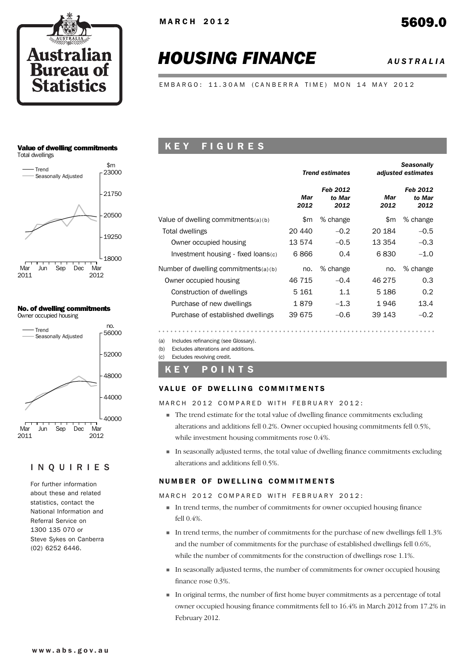

# *HOUSING FINANCE AUSTRALIA*

EMBARGO: 11.30AM (CANBERRA TIME) MON 14 MAY 2012

#### Value of dwelling commitments Total dwellings



#### No. of dwelling commitments Owner occupied housing



#### INQUIRIES

For further information about these and related statistics, contact the National Information and Referral Service on 1300 135 070 or Steve Sykes on Canberra (02) 6252 6446.

## K E Y F I G U R E S

|                                        |             | <b>Trend estimates</b>     |             | <b>Seasonally</b><br>adjusted estimates |
|----------------------------------------|-------------|----------------------------|-------------|-----------------------------------------|
|                                        | Mar<br>2012 | Feb 2012<br>to Mar<br>2012 | Mar<br>2012 | Feb 2012<br>to Mar<br>2012              |
| Value of dwelling commitments $(a)(b)$ | \$m         | % change                   | \$m         | % change                                |
| Total dwellings                        | 20 440      | $-0.2$                     | 20 184      | $-0.5$                                  |
| Owner occupied housing                 | 13 574      | $-0.5$                     | 13 354      | $-0.3$                                  |
| Investment housing - fixed loans(c)    | 6866        | 0.4                        | 6830        | $-1.0$                                  |
| Number of dwelling commitments(a)(b)   | no.         | % change                   | no.         | % change                                |
| Owner occupied housing                 | 46 715      | $-0.4$                     | 46 275      | 0.3                                     |
| Construction of dwellings              | 5 1 6 1     | 1.1                        | 5 1 8 6     | 0.2                                     |
| Purchase of new dwellings              | 1879        | $-1.3$                     | 1946        | 13.4                                    |
| Purchase of established dwellings      | 39 675      | $-0.6$                     | 39 143      | $-0.2$                                  |

(a) Includes refinancing (see Glossary).

(b) Excludes alterations and additions.

(c) Excludes revolving credit.

#### K E Y P O I N T S

#### VALUE OF DWELLING COMMITMENTS

MARCH 2012 COMPARED WITH FEBRUARY 2012:

- ! The trend estimate for the total value of dwelling finance commitments excluding alterations and additions fell 0.2%. Owner occupied housing commitments fell 0.5%, while investment housing commitments rose 0.4%.
- ! In seasonally adjusted terms, the total value of dwelling finance commitments excluding alterations and additions fell 0.5%.

#### NUMBER OF DWELLING COMMITMENTS

MARCH 2012 COMPARED WITH FEBRUARY 2012:

- ! In trend terms, the number of commitments for owner occupied housing finance fell 0.4%.
- ! In trend terms, the number of commitments for the purchase of new dwellings fell 1.3% and the number of commitments for the purchase of established dwellings fell 0.6%, while the number of commitments for the construction of dwellings rose 1.1%.
- ! In seasonally adjusted terms, the number of commitments for owner occupied housing finance rose 0.3%.
- ! In original terms, the number of first home buyer commitments as a percentage of total owner occupied housing finance commitments fell to 16.4% in March 2012 from 17.2% in February 2012.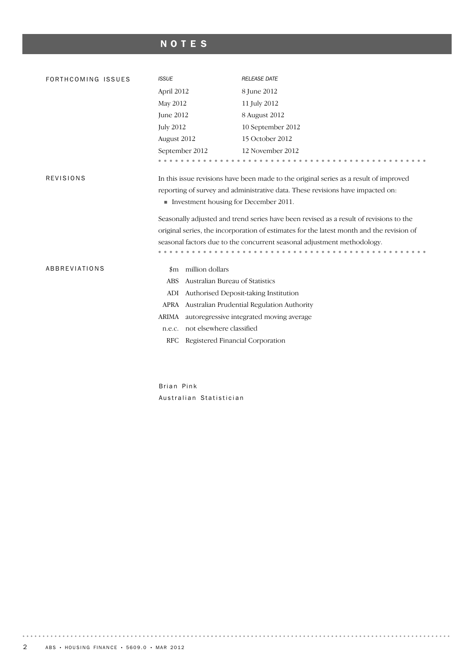## NOTES

| FORTHCOMING ISSUES | <b>ISSUE</b>                                                                             | <b>RELEASE DATE</b>                                                                   |  |  |  |  |  |  |
|--------------------|------------------------------------------------------------------------------------------|---------------------------------------------------------------------------------------|--|--|--|--|--|--|
|                    | April 2012                                                                               | 8 June 2012                                                                           |  |  |  |  |  |  |
|                    | May 2012                                                                                 | 11 July 2012                                                                          |  |  |  |  |  |  |
|                    | June 2012                                                                                | 8 August 2012                                                                         |  |  |  |  |  |  |
|                    | <b>July 2012</b>                                                                         | 10 September 2012                                                                     |  |  |  |  |  |  |
|                    | August 2012                                                                              | 15 October 2012                                                                       |  |  |  |  |  |  |
|                    | September 2012                                                                           | 12 November 2012                                                                      |  |  |  |  |  |  |
|                    |                                                                                          |                                                                                       |  |  |  |  |  |  |
| <b>REVISIONS</b>   |                                                                                          | In this issue revisions have been made to the original series as a result of improved |  |  |  |  |  |  |
|                    |                                                                                          | reporting of survey and administrative data. These revisions have impacted on:        |  |  |  |  |  |  |
|                    | Investment housing for December 2011.                                                    |                                                                                       |  |  |  |  |  |  |
|                    | Seasonally adjusted and trend series have been revised as a result of revisions to the   |                                                                                       |  |  |  |  |  |  |
|                    | original series, the incorporation of estimates for the latest month and the revision of |                                                                                       |  |  |  |  |  |  |
|                    |                                                                                          | seasonal factors due to the concurrent seasonal adjustment methodology.               |  |  |  |  |  |  |
|                    |                                                                                          |                                                                                       |  |  |  |  |  |  |
| ABBREVIATIONS      | \$m million dollars                                                                      |                                                                                       |  |  |  |  |  |  |
|                    | Australian Bureau of Statistics<br><b>ABS</b>                                            |                                                                                       |  |  |  |  |  |  |
|                    | ADI                                                                                      | Authorised Deposit-taking Institution                                                 |  |  |  |  |  |  |
|                    |                                                                                          | APRA Australian Prudential Regulation Authority                                       |  |  |  |  |  |  |
|                    | <b>ARIMA</b>                                                                             | autoregressive integrated moving average                                              |  |  |  |  |  |  |
|                    | not elsewhere classified<br>n.e.c.                                                       |                                                                                       |  |  |  |  |  |  |
|                    | Registered Financial Corporation<br>RFC                                                  |                                                                                       |  |  |  |  |  |  |
|                    |                                                                                          |                                                                                       |  |  |  |  |  |  |
|                    |                                                                                          |                                                                                       |  |  |  |  |  |  |

Brian Pink Australian Statistician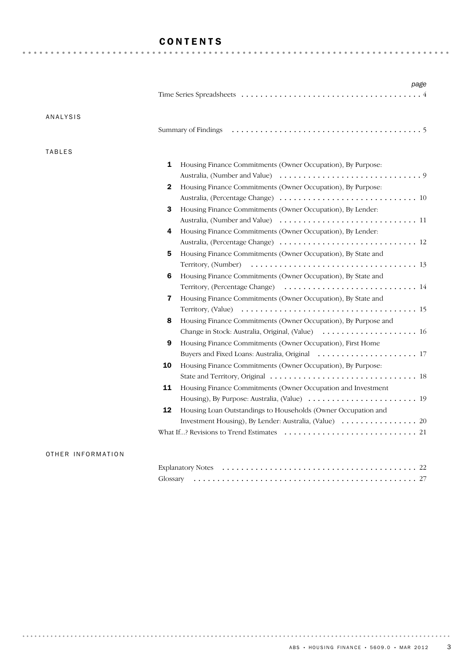### CONTENTS

| ANALYSIS      |                                                                                         |
|---------------|-----------------------------------------------------------------------------------------|
|               |                                                                                         |
| <b>TABLES</b> |                                                                                         |
|               | 1<br>Housing Finance Commitments (Owner Occupation), By Purpose:                        |
|               |                                                                                         |
|               | Housing Finance Commitments (Owner Occupation), By Purpose:<br>2                        |
|               |                                                                                         |
|               | 3<br>Housing Finance Commitments (Owner Occupation), By Lender:                         |
|               |                                                                                         |
|               | Housing Finance Commitments (Owner Occupation), By Lender:<br>4                         |
|               |                                                                                         |
|               | 5<br>Housing Finance Commitments (Owner Occupation), By State and                       |
|               |                                                                                         |
|               | 6<br>Housing Finance Commitments (Owner Occupation), By State and                       |
|               |                                                                                         |
|               | $\overline{\mathbf{r}}$<br>Housing Finance Commitments (Owner Occupation), By State and |
|               |                                                                                         |
|               | Housing Finance Commitments (Owner Occupation), By Purpose and<br>8                     |
|               | Change in Stock: Australia, Original, (Value)  16                                       |
|               | 9<br>Housing Finance Commitments (Owner Occupation), First Home                         |
|               |                                                                                         |
|               | 10<br>Housing Finance Commitments (Owner Occupation), By Purpose:                       |
|               |                                                                                         |
|               | 11<br>Housing Finance Commitments (Owner Occupation and Investment                      |
|               |                                                                                         |
|               | 12<br>Housing Loan Outstandings to Households (Owner Occupation and                     |
|               |                                                                                         |
|               |                                                                                         |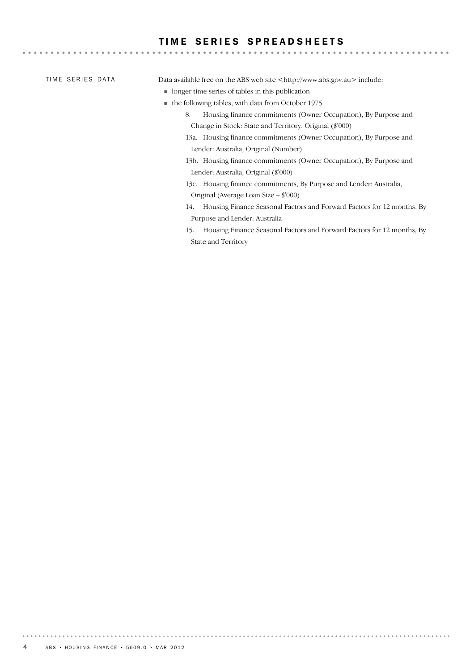#### TIME SERIES SPREADSHEETS

TIME SERIES DATA

Data available free on the ABS web site <http://www.abs.gov.au> include:

- ! longer time series of tables in this publication
- ! the following tables, with data from October 1975
	- 8. Housing finance commitments (Owner Occupation), By Purpose and Change in Stock: State and Territory, Original (\$'000)

- 13a. Housing finance commitments (Owner Occupation), By Purpose and Lender: Australia, Original (Number)
- 13b. Housing finance commitments (Owner Occupation), By Purpose and Lender: Australia, Original (\$'000)
- 13c. Housing finance commitments, By Purpose and Lender: Australia, Original (Average Loan Size – \$'000)
- 14. Housing Finance Seasonal Factors and Forward Factors for 12 months, By Purpose and Lender: Australia
- 15. Housing Finance Seasonal Factors and Forward Factors for 12 months, By State and Territory

. . . . . . . . .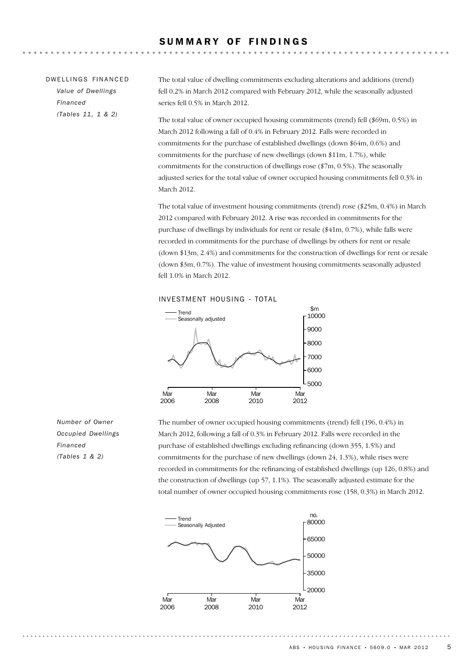| DWELLINGS FINANCED | The total value of dwelling commitments excluding alterations and additions (trend)                                                                                 |
|--------------------|---------------------------------------------------------------------------------------------------------------------------------------------------------------------|
| Value of Dwellings | fell 0.2% in March 2012 compared with February 2012, while the seasonally adjusted                                                                                  |
| Financed           | series fell 0.5% in March 2012.                                                                                                                                     |
| (Tables 11, 1 & 2) | The total value of owner occupied housing commitments (trend) fell (\$69m, 0.5%) in<br>March 2012 following a fall of 0.4% in February 2012. Falls were recorded in |

commitments for the purchase of established dwellings (down \$64m, 0.6%) and commitments for the purchase of new dwellings (down \$11m, 1.7%), while commitments for the construction of dwellings rose (\$7m, 0.5%). The seasonally adjusted series for the total value of owner occupied housing commitments fell 0.3% in March 2012.

The total value of investment housing commitments (trend) rose (\$25m, 0.4%) in March 2012 compared with February 2012. A rise was recorded in commitments for the purchase of dwellings by individuals for rent or resale (\$41m, 0.7%), while falls were recorded in commitments for the purchase of dwellings by others for rent or resale (down \$13m, 2.4%) and commitments for the construction of dwellings for rent or resale (down \$3m, 0.7%). The value of investment housing commitments seasonally adjusted fell 1.0% in March 2012.

INVESTMENT HOUSING - TOTAL



*Number of Owner Occupied Dwellings Financed (Tables 1 & 2)*

The number of owner occupied housing commitments (trend) fell (196, 0.4%) in March 2012, following a fall of 0.3% in February 2012. Falls were recorded in the purchase of established dwellings excluding refinancing (down 355, 1.5%) and commitments for the purchase of new dwellings (down 24, 1.3%), while rises were recorded in commitments for the refinancing of established dwellings (up 126, 0.8%) and the construction of dwellings (up 57, 1.1%). The seasonally adjusted estimate for the total number of owner occupied housing commitments rose (158, 0.3%) in March 2012.

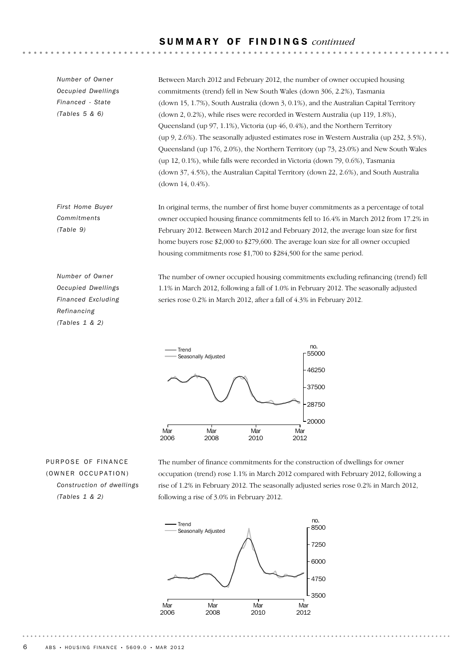#### S U M M A R Y O F F I N D I N G S *continued*

*Number of Owner Occupied Dwellings Financed - State (Tables 5 & 6)*

Between March 2012 and February 2012, the number of owner occupied housing commitments (trend) fell in New South Wales (down 306, 2.2%), Tasmania (down 15, 1.7%), South Australia (down 3, 0.1%), and the Australian Capital Territory (down 2, 0.2%), while rises were recorded in Western Australia (up 119, 1.8%), Queensland (up 97, 1.1%), Victoria (up 46, 0.4%), and the Northern Territory (up 9, 2.6%). The seasonally adjusted estimates rose in Western Australia (up 232, 3.5%), Queensland (up 176, 2.0%), the Northern Territory (up 73, 23.0%) and New South Wales (up 12, 0.1%), while falls were recorded in Victoria (down 79, 0.6%), Tasmania (down 37, 4.5%), the Australian Capital Territory (down 22, 2.6%), and South Australia (down 14, 0.4%).

In original terms, the number of first home buyer commitments as a percentage of total owner occupied housing finance commitments fell to 16.4% in March 2012 from 17.2% in February 2012. Between March 2012 and February 2012, the average loan size for first home buyers rose \$2,000 to \$279,600. The average loan size for all owner occupied housing commitments rose \$1,700 to \$284,500 for the same period.

*Number of Owner Occupied Dwellings Financed Excluding Refinancing (Tables 1 & 2)*

*First Home Buyer Commitments (Table 9)*

> The number of owner occupied housing commitments excluding refinancing (trend) fell 1.1% in March 2012, following a fall of 1.0% in February 2012. The seasonally adjusted series rose 0.2% in March 2012, after a fall of 4.3% in February 2012.



PURPOSE OF FINANCE (OWNER OCCUPATION) *Construction of dwellings (Tables 1 & 2)*

The number of finance commitments for the construction of dwellings for owner occupation (trend) rose 1.1% in March 2012 compared with February 2012, following a rise of 1.2% in February 2012. The seasonally adjusted series rose 0.2% in March 2012, following a rise of 3.0% in February 2012.

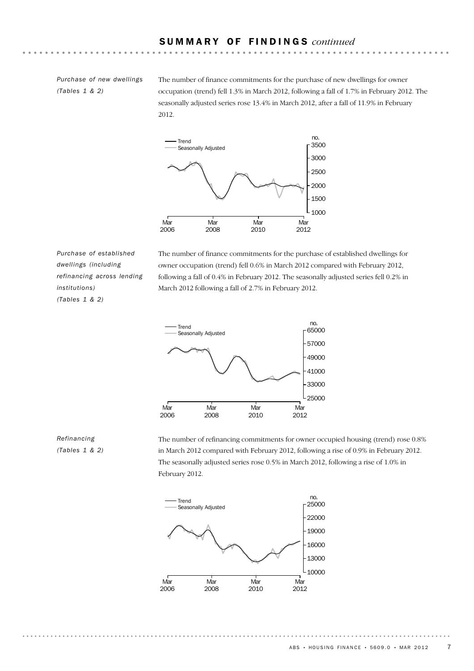*Purchase of new dwellings (Tables 1 & 2)*

The number of finance commitments for the purchase of new dwellings for owner occupation (trend) fell 1.3% in March 2012, following a fall of 1.7% in February 2012. The seasonally adjusted series rose 13.4% in March 2012, after a fall of 11.9% in February 2012.



*Purchase of established dwellings (including refinancing across lending institutions) (Tables 1 & 2)*

The number of finance commitments for the purchase of established dwellings for owner occupation (trend) fell 0.6% in March 2012 compared with February 2012, following a fall of 0.4% in February 2012. The seasonally adjusted series fell 0.2% in March 2012 following a fall of 2.7% in February 2012.



#### *Refinancing (Tables 1 & 2)*

The number of refinancing commitments for owner occupied housing (trend) rose 0.8% in March 2012 compared with February 2012, following a rise of 0.9% in February 2012. The seasonally adjusted series rose 0.5% in March 2012, following a rise of 1.0% in February 2012.



 $ABS \cdot HOUSING FINANCE \cdot 5609.0 \cdot MAR 2012$  7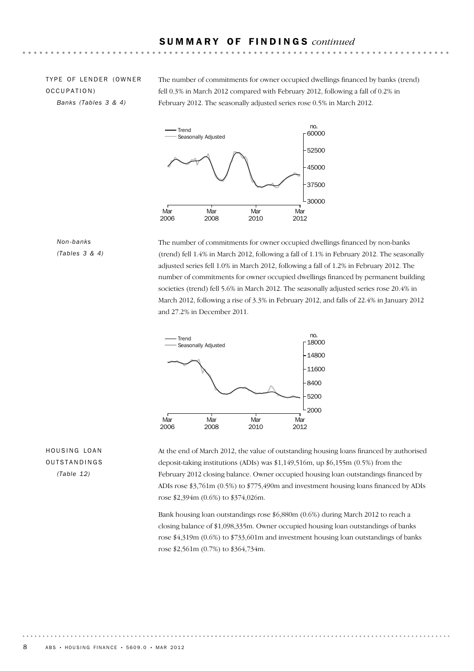TYPE OF LENDER (OWNER OCCUPATION) *Banks (Tables 3 & 4)*

The number of commitments for owner occupied dwellings financed by banks (trend) fell 0.3% in March 2012 compared with February 2012, following a fall of 0.2% in February 2012. The seasonally adjusted series rose 0.5% in March 2012.



#### *Non-banks (Tables 3 & 4)*

The number of commitments for owner occupied dwellings financed by non-banks (trend) fell 1.4% in March 2012, following a fall of 1.1% in February 2012. The seasonally adjusted series fell 1.0% in March 2012, following a fall of 1.2% in February 2012. The number of commitments for owner occupied dwellings financed by permanent building societies (trend) fell 5.6% in March 2012. The seasonally adjusted series rose 20.4% in March 2012, following a rise of 3.3% in February 2012, and falls of 22.4% in January 2012 and 27.2% in December 2011.



HOUSING LOAN OUTSTANDINGS *(Table 12)* 

At the end of March 2012, the value of outstanding housing loans financed by authorised deposit-taking institutions (ADIs) was \$1,149,516m, up \$6,155m (0.5%) from the February 2012 closing balance. Owner occupied housing loan outstandings financed by ADIs rose \$3,761m (0.5%) to \$775,490m and investment housing loans financed by ADIs rose \$2,394m (0.6%) to \$374,026m.

Bank housing loan outstandings rose \$6,880m (0.6%) during March 2012 to reach a closing balance of \$1,098,335m. Owner occupied housing loan outstandings of banks rose \$4,319m (0.6%) to \$733,601m and investment housing loan outstandings of banks rose \$2,561m (0.7%) to \$364,734m.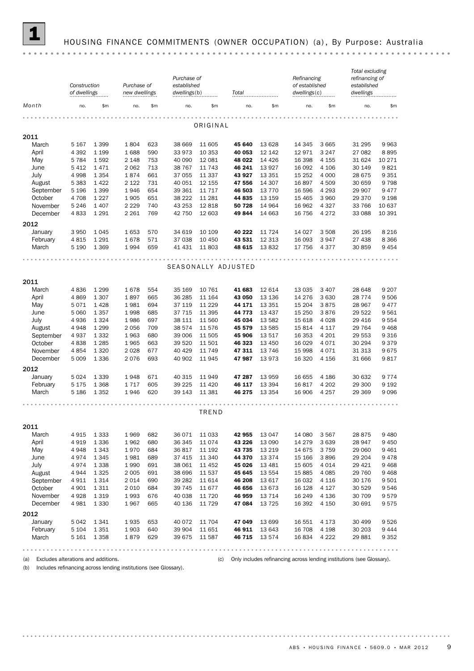

## 1 HOUSING FINANCE COMMITMENTS (OWNER OCCUPATION) (a) , By Purpose: Australia

|                | of dwellings     | Purchase of<br>Construction<br>Purchase of<br>established<br>dwellings(b)<br>new dwellings |              | Total      |                  | Refinancing<br>of established<br>dwellings(c) |                     | Total excluding<br>refinancing of<br>established<br>dwellings |                 |                    |                  |              |
|----------------|------------------|--------------------------------------------------------------------------------------------|--------------|------------|------------------|-----------------------------------------------|---------------------|---------------------------------------------------------------|-----------------|--------------------|------------------|--------------|
| Month          | no.              | \$m                                                                                        | no.          | \$m        | no.              | \$m                                           | no.                 | \$m                                                           | no.             | \$m                | no.              | \$m          |
|                |                  |                                                                                            |              |            |                  |                                               |                     |                                                               |                 |                    |                  |              |
|                |                  |                                                                                            |              |            |                  | ORIGINAL                                      |                     |                                                               |                 |                    |                  |              |
| 2011           |                  |                                                                                            |              |            |                  |                                               |                     |                                                               |                 |                    |                  |              |
| March<br>April | 5 167<br>4 3 9 2 | 1 3 9 9<br>1 1 9 9                                                                         | 1804<br>1688 | 623<br>590 | 38 669<br>33 973 | 11 605<br>10 353                              | 45 640<br>40 053    | 13 6 28<br>12 142                                             | 14 345<br>12971 | 3 6 6 5<br>3 2 4 7 | 31 295<br>27 082 | 9963<br>8895 |
| May            | 5 7 8 4          | 1592                                                                                       | 2 1 4 8      | 753        | 40 090           | 12 081                                        | 48 022              | 14 4 26                                                       | 16 398          | 4 1 5 5            | 31 624           | 10 271       |
| June           | 5 4 1 2          | 1471                                                                                       | 2 0 6 2      | 713        | 38 767           | 11 743                                        | 46 241              | 13 9 27                                                       | 16 092          | 4 1 0 6            | 30 149           | 9821         |
| July           | 4 9 9 8          | 1 3 5 4                                                                                    | 1874         | 661        | 37 055           | 11 337                                        | 43 927              | 13 3 5 1                                                      | 15 25 2         | 4 0 0 0            | 28 675           | 9 3 5 1      |
| August         | 5 3 8 3          | 1422                                                                                       | 2 1 2 2      | 731        | 40 051           | 12 155                                        | 47 556              | 14 307                                                        | 16897           | 4509               | 30 659           | 9798         |
| September      | 5 1 9 6          | 1 3 9 9                                                                                    | 1946         | 654        | 39 361           | 11 7 17                                       | 46 503              | 13 7 7 0                                                      | 16 596          | 4 2 9 3            | 29 907           | 9477         |
| October        | 4708             | 1 2 2 7                                                                                    | 1905         | 651        | 38 222           | 11 281                                        | 44 835              | 13 15 9                                                       | 15 4 65         | 3 9 6 0            | 29 370           | 9 1 9 8      |
| November       | 5 2 4 6          | 1 4 0 7                                                                                    | 2 2 2 9      | 740        | 43 253           | 12818                                         | 50 728              | 14 9 64                                                       | 16 962          | 4 3 2 7            | 33 766           | 10 637       |
| December       | 4833             | 1 2 9 1                                                                                    | 2 2 6 1      | 769        | 42 750           | 12 603                                        | 49844               | 14 663                                                        | 16 756          | 4 2 7 2            | 33 088           | 10 391       |
| 2012           |                  |                                                                                            |              |            |                  |                                               |                     |                                                               |                 |                    |                  |              |
| January        | 3 9 5 0          | 1045                                                                                       | 1653         | 570        | 34 619           | 10 109                                        | 40 222              | 11 7 24                                                       | 14 0 27         | 3 5 0 8            | 26 195           | 8 2 1 6      |
| February       | 4815             | 1 2 9 1                                                                                    | 1678         | 571        | 37 038           | 10 450                                        | 43 531              | 12 3 13                                                       | 16 093          | 3 9 4 7            | 27 438           | 8 3 6 6      |
| March          | 5 1 9 0          | 1 3 6 9                                                                                    | 1994         | 659        | 41 431           | 11 803                                        | 48 615              | 13832                                                         | 17 756          | 4 3 7 7            | 30 859           | 9 4 5 4      |
|                |                  |                                                                                            |              |            |                  |                                               |                     |                                                               |                 |                    |                  |              |
|                |                  |                                                                                            |              |            |                  |                                               |                     |                                                               |                 |                    |                  |              |
|                |                  |                                                                                            |              |            |                  |                                               | SEASONALLY ADJUSTED |                                                               |                 |                    |                  |              |
| 2011           |                  |                                                                                            |              |            |                  |                                               |                     |                                                               |                 |                    |                  |              |
| March          | 4836             | 1 2 9 9                                                                                    | 1678         | 554        | 35 169           | 10 761                                        | 41 683              | 12 614                                                        | 13 0 35         | 3 4 0 7            | 28 648           | 9 2 0 7      |
| April          | 4869             | 1 3 0 7                                                                                    | 1897         | 665        | 36 285           | 11 164                                        | 43 050              | 13 136                                                        | 14 276          | 3 6 3 0            | 28 7 7 4         | 9506         |
| May            | 5 071            | 1428                                                                                       | 1981         | 694        | 37 119           | 11 229                                        | 44 171              | 13 3 5 1                                                      | 15 204          | 3875               | 28 967           | 9477         |
| June           | 5 0 6 0          | 1 3 5 7                                                                                    | 1998         | 685        | 37 715           | 11 3 95                                       | 44 773              | 13 4 37                                                       | 15 250          | 3876               | 29 522           | 9561         |
| July           | 4936             | 1 3 2 4                                                                                    | 1986         | 697        | 38 111           | 11 560                                        | 45 034              | 13 5 82                                                       | 15 618          | 4 0 28             | 29 4 16          | 9554         |
| August         | 4948             | 1 2 9 9                                                                                    | 2056         | 709        | 38 574           | 11 576                                        | 45 579              | 13 5 85                                                       | 15814           | 4 1 1 7            | 29 7 64          | 9 4 6 8      |
| September      | 4937             | 1 3 3 2                                                                                    | 1963         | 680        | 39 006           | 11 505                                        | 45 906              | 13517                                                         | 16 353          | 4 2 0 1            | 29 553           | 9 3 1 6      |
| October        | 4838             | 1 2 8 5                                                                                    | 1965         | 663        | 39 5 20          | 11 501                                        | 46 323              | 13 4 50                                                       | 16 0 29         | 4 0 7 1            | 30 294           | 9379         |
| November       | 4854             | 1 3 2 0                                                                                    | 2028         | 677        | 40 4 29          | 11 749                                        | 47 311              | 13 746                                                        | 15 998          | 4 0 7 1            | 31 313           | 9675         |
| December       | 5 0 0 9          | 1 3 3 6                                                                                    | 2076         | 693        | 40 902           | 11 945                                        | 47987               | 13973                                                         | 16 3 20         | 4 1 5 6            | 31 666           | 9817         |
| 2012           |                  |                                                                                            |              |            |                  |                                               |                     |                                                               |                 |                    |                  |              |
| January        | 5024             | 1 3 3 9                                                                                    | 1948         | 671        | 40 315           | 11 949                                        | 47 287              | 13 959                                                        | 16 655          | 4 1 8 6            | 30 632           | 9774         |
| February       | 5 1 7 5          | 1 3 6 8                                                                                    | 1717         | 605        | 39 2 25          | 11 4 20                                       | 46 117              | 13 3 94                                                       | 16817           | 4 2 0 2            | 29 300           | 9 1 9 2      |
| March          | 5 186            | 1352                                                                                       | 1946         | 620        | 39 143           | 11 381                                        | 46 275              | 13 3 5 4                                                      | 16 906          | 4 2 5 7            | 29 369           | 9096         |
|                |                  |                                                                                            |              |            |                  |                                               |                     |                                                               |                 |                    |                  |              |
|                |                  |                                                                                            |              |            |                  | TREND                                         |                     |                                                               |                 |                    |                  |              |
|                |                  |                                                                                            |              |            |                  |                                               |                     |                                                               |                 |                    |                  |              |
| 2011           |                  |                                                                                            |              |            |                  |                                               |                     |                                                               |                 |                    |                  |              |
| March          | 4 915            | 1 3 3 3                                                                                    | 1969         | 682        | 36 0 71          | 11 033                                        | 42 955              | 13 047                                                        | 14 080          | 3 5 6 7            | 28875            | 9480         |
| April          | 4 919            | 1 3 3 6                                                                                    | 1962         | 680        | 36 345           | 11 0 74                                       | 43 226              | 13 090                                                        | 14 279          | 3 6 3 9            | 28 947           | 9 4 5 0      |
| May            | 4948             | 1 3 4 3                                                                                    | 1970         | 684        | 36817            | 11 192                                        | 43 735              | 13 2 19                                                       | 14 675          | 3 7 5 9            | 29 060           | 9461         |
| June           | 4974             | 1 3 4 5                                                                                    | 1981         | 689        | 37 415           | 11 340                                        | 44 370              | 13 3 7 4                                                      | 15 166          | 3896               | 29 204           | 9478         |
| July           | 4974             | 1 3 3 8                                                                                    | 1990         | 691        | 38 061           | 11 452                                        | 45 026              | 13 4 8 1                                                      | 15 605          | 4 0 1 4            | 29 4 21          | 9468         |
| August         | 4944             | 1 3 2 5                                                                                    | 2 0 0 5      | 691        | 38 696           | 11 537                                        | 45 645              | 13 5 54                                                       | 15885           | 4 0 8 5            | 29 760           | 9468         |
| September      | 4 911            | 1 3 1 4                                                                                    | 2014         | 690        | 39 28 2          | 11 614                                        | 46 208              | 13 617                                                        | 16 032          | 4 1 1 6            | 30 176           | 9501         |
| October        | 4 9 0 1          | 1 3 1 1                                                                                    | 2 0 1 0      | 684        | 39 745           | 11 677                                        | 46 656              | 13673                                                         | 16 128          | 4 1 2 7            | 30 529           | 9546         |
| November       | 4928             | 1 3 1 9                                                                                    | 1993         | 676        | 40 038           | 11 720                                        | 46 959              | 13 7 14                                                       | 16 249          | 4 1 3 6            | 30 709           | 9579         |
| December       | 4981             | 1 3 3 0                                                                                    | 1967         | 665        | 40 136           | 11 729                                        | 47 084              | 13 7 25                                                       | 16 392          | 4 1 5 0            | 30 691           | 9575         |
| 2012           |                  |                                                                                            |              |            |                  |                                               |                     |                                                               |                 |                    |                  |              |
| January        | 5 0 4 2          | 1341                                                                                       | 1935         | 653        | 40 0 72          | 11 704                                        | 47 049              | 13 699                                                        | 16 551          | 4 1 7 3            | 30 499           | 9526         |
| February       | 5 1 0 4          | 1 3 5 1                                                                                    | 1903         | 640        | 39 904           | 11 651                                        | 46 911              | 13 643                                                        | 16 708          | 4 1 9 8            | 30 203           | 9444         |
| March          | 5 161            | 1 3 5 8                                                                                    | 1879         | 629        | 39 675           | 11 587                                        | 46 715              | 13574                                                         | 16834           | 4 2 2 2            | 29881            | 9 3 5 2      |
|                |                  |                                                                                            |              |            |                  |                                               |                     |                                                               |                 |                    |                  |              |

(b) Includes refinancing across lending institutions (see Glossary).

(a) Excludes alterations and additions. (c) Only includes refinancing across lending institutions (see Glossary).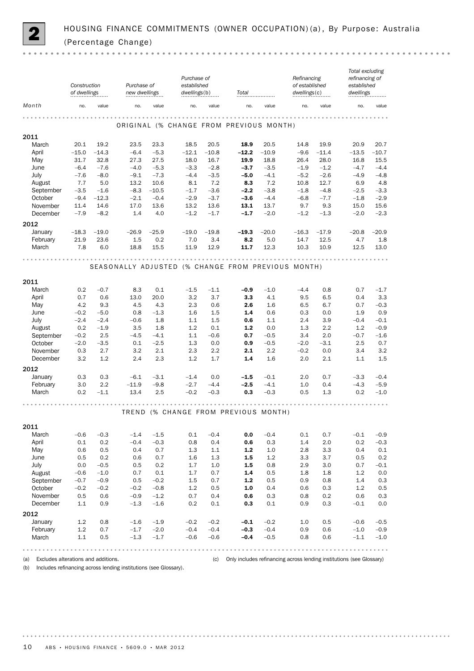

|                 | Construction<br>of dwellings |                  | Purchase of<br>new dwellings |                | Purchase of<br>established<br>dwellings(b) |                 | Total                                              | Refinancing<br>of established<br>dwellings(c) |                | Total excluding<br>refinancing of<br>established<br>dwellings |                 |                   |
|-----------------|------------------------------|------------------|------------------------------|----------------|--------------------------------------------|-----------------|----------------------------------------------------|-----------------------------------------------|----------------|---------------------------------------------------------------|-----------------|-------------------|
| Month           | no.                          | value            | no.                          | value          | no.                                        | value           | no.                                                | value                                         | no.            | value                                                         | no.             | value             |
|                 |                              |                  |                              |                |                                            |                 | ORIGINAL (% CHANGE FROM PREVIOUS MONTH)            |                                               |                |                                                               |                 |                   |
| 2011            |                              |                  |                              |                |                                            |                 |                                                    |                                               |                |                                                               |                 |                   |
| March<br>April  | 20.1<br>$-15.0$              | 19.2<br>$-14.3$  | 23.5<br>$-6.4$               | 23.3<br>$-5.3$ | 18.5<br>$-12.1$                            | 20.5<br>$-10.8$ | 18.9<br>$-12.2$                                    | 20.5<br>$-10.9$                               | 14.8<br>$-9.6$ | 19.9<br>$-11.4$                                               | 20.9<br>$-13.5$ | 20.7<br>$-10.7$   |
| May             | 31.7                         | 32.8             | 27.3                         | 27.5           | 18.0                                       | 16.7            | 19.9                                               | 18.8                                          | 26.4           | 28.0                                                          | 16.8            | 15.5              |
| June            | $-6.4$                       | $-7.6$           | $-4.0$                       | $-5.3$         | $-3.3$                                     | $-2.8$          | $-3.7$                                             | $-3.5$                                        | $-1.9$         | $-1.2$                                                        | $-4.7$          | $-4.4$            |
| July            | $-7.6$                       | $-8.0$           | $-9.1$                       | $-7.3$         | $-4.4$                                     | $-3.5$          | $-5.0$                                             | $-4.1$                                        | $-5.2$         | $-2.6$                                                        | $-4.9$          | $-4.8$            |
| August          | 7.7                          | 5.0              | 13.2                         | 10.6           | 8.1                                        | 7.2             | 8.3                                                | 7.2                                           | 10.8           | 12.7                                                          | 6.9             | 4.8               |
| September       | $-3.5$                       | $-1.6$           | $-8.3$                       | $-10.5$        | $-1.7$                                     | $-3.6$          | $-2.2$                                             | $-3.8$                                        | $-1.8$         | $-4.8$                                                        | $-2.5$          | $-3.3$            |
| October         | $-9.4$                       | $-12.3$          | $-2.1$                       | $-0.4$         | $-2.9$                                     | $-3.7$          | $-3.6$                                             | $-4.4$                                        | $-6.8$         | $-7.7$                                                        | $-1.8$          | $-2.9$            |
| November        | 11.4<br>$-7.9$               | 14.6<br>$-8.2$   | 17.0<br>1.4                  | 13.6           | 13.2<br>$-1.2$                             | 13.6<br>$-1.7$  | 13.1<br>$-1.7$                                     | 13.7<br>$-2.0$                                | 9.7<br>$-1.2$  | 9.3                                                           | 15.0<br>$-2.0$  | 15.6<br>$-2.3$    |
| December        |                              |                  |                              | 4.0            |                                            |                 |                                                    |                                               |                | $-1.3$                                                        |                 |                   |
| 2012<br>January | $-18.3$                      | $-19.0$          | $-26.9$                      | $-25.9$        | $-19.0$                                    | $-19.8$         | $-19.3$                                            | $-20.0$                                       | $-16.3$        | $-17.9$                                                       | $-20.8$         | $-20.9$           |
| February        | 21.9                         | 23.6             | 1.5                          | 0.2            | 7.0                                        | 3.4             | 8.2                                                | 5.0                                           | 14.7           | 12.5                                                          | 4.7             | 1.8               |
| March           | 7.8                          | 6.0              | 18.8                         | 15.5           | 11.9                                       | 12.9            | 11.7                                               | 12.3                                          | 10.3           | 10.9                                                          | 12.5            | 13.0              |
|                 |                              |                  |                              |                |                                            |                 |                                                    |                                               |                |                                                               |                 |                   |
|                 |                              |                  |                              |                |                                            |                 | SEASONALLY ADJUSTED (% CHANGE FROM PREVIOUS MONTH) |                                               |                |                                                               |                 |                   |
| 2011            |                              |                  |                              |                |                                            |                 |                                                    |                                               |                |                                                               |                 |                   |
| March           | 0.2                          | $-0.7$           | 8.3                          | 0.1            | $-1.5$                                     | $-1.1$          | $-0.9$                                             | $-1.0$                                        | $-4.4$         | 0.8                                                           | 0.7             | $-1.7$            |
| April           | 0.7                          | 0.6              | 13.0                         | 20.0           | 3.2                                        | 3.7             | 3.3                                                | 4.1                                           | 9.5            | 6.5                                                           | 0.4             | 3.3               |
| May<br>June     | 4.2<br>$-0.2$                | 9.3<br>$-5.0$    | 4.5<br>0.8                   | 4.3<br>$-1.3$  | 2.3<br>1.6                                 | 0.6<br>1.5      | 2.6<br>1.4                                         | 1.6<br>0.6                                    | 6.5<br>0.3     | 6.7<br>0.0                                                    | 0.7<br>1.9      | $-0.3$<br>0.9     |
| July            | $-2.4$                       | $-2.4$           | $-0.6$                       | 1.8            | 1.1                                        | 1.5             | 0.6                                                | 1.1                                           | 2.4            | 3.9                                                           | $-0.4$          | $-0.1$            |
| August          | 0.2                          | $-1.9$           | 3.5                          | 1.8            | 1.2                                        | 0.1             | $1.2$                                              | 0.0                                           | 1.3            | 2.2                                                           | 1.2             | $-0.9$            |
| September       | $-0.2$                       | 2.5              | $-4.5$                       | $-4.1$         | 1.1                                        | $-0.6$          | 0.7                                                | $-0.5$                                        | 3.4            | 2.0                                                           | $-0.7$          | $-1.6$            |
| October         | $-2.0$                       | $-3.5$           | 0.1                          | $-2.5$         | 1.3                                        | 0.0             | 0.9                                                | $-0.5$                                        | $-2.0$         | $-3.1$                                                        | 2.5             | 0.7               |
| November        | 0.3                          | 2.7              | 3.2                          | 2.1            | 2.3                                        | 2.2             | 2.1                                                | 2.2                                           | $-0.2$         | 0.0                                                           | 3.4             | 3.2               |
| December        | 3.2                          | 1.2              | 2.4                          | 2.3            | 1.2                                        | 1.7             | 1.4                                                | 1.6                                           | 2.0            | 2.1                                                           | 1.1             | 1.5               |
| 2012            |                              |                  |                              |                |                                            |                 |                                                    |                                               |                |                                                               |                 |                   |
| January         | 0.3                          | 0.3              | $-6.1$                       | $-3.1$         | $-1.4$                                     | 0.0             | $-1.5$                                             | $-0.1$                                        | 2.0            | 0.7                                                           | $-3.3$          | $-0.4$            |
| February        | 3.0                          | 2.2              | $-11.9$                      | $-9.8$         | $-2.7$                                     | $-4.4$          | $-2.5$                                             | $-4.1$                                        | 1.0            | 0.4                                                           | $-4.3$          | $-5.9$            |
| March           | 0.2                          | $-1.1$           | 13.4                         | 2.5            | $-0.2$                                     | $-0.3$          | 0.3                                                | $-0.3$                                        | 0.5            | 1.3                                                           | 0.2             | $-1.0$            |
|                 |                              |                  |                              |                |                                            |                 |                                                    |                                               |                |                                                               |                 |                   |
|                 |                              |                  |                              |                |                                            |                 | TREND (% CHANGE FROM PREVIOUS MONTH)               |                                               |                |                                                               |                 |                   |
| 2011            |                              |                  |                              |                |                                            |                 |                                                    |                                               |                |                                                               |                 |                   |
| March           | $-0.6$                       | $-0.3$           | $-1.4$                       | $-1.5$         | 0.1                                        | $-0.4$          | 0.0                                                | $-0.4$                                        | 0.1            | 0.7                                                           | $-0.1$          | $-0.9$            |
| April           | 0.1                          | 0.2              | $-0.4$                       | $-0.3$         | 0.8                                        | 0.4             | 0.6                                                | 0.3                                           | 1.4            | 2.0                                                           | 0.2             | $-0.3$            |
| May             | 0.6                          | 0.5              | 0.4                          | 0.7            | 1.3                                        | 1.1             | $1.2$                                              | 1.0                                           | 2.8            | 3.3                                                           | 0.4             | 0.1               |
| June            | 0.5                          | 0.2              | 0.6                          | 0.7            | 1.6                                        | 1.3             | 1.5                                                | 1.2                                           | 3.3            | 3.7                                                           | 0.5             | 0.2               |
| July<br>August  | 0.0<br>$-0.6$                | $-0.5$<br>$-1.0$ | 0.5<br>0.7                   | 0.2<br>0.1     | 1.7<br>1.7                                 | 1.0<br>0.7      | 1.5<br>1.4                                         | 0.8<br>0.5                                    | 2.9<br>1.8     | 3.0<br>1.8                                                    | 0.7<br>1.2      | $-0.1$<br>$0.0\,$ |
| September       | $-0.7$                       | $-0.9$           | 0.5                          | $-0.2$         | 1.5                                        | 0.7             | 1.2                                                | 0.5                                           | 0.9            | 0.8                                                           | 1.4             | 0.3               |
| October         | $-0.2$                       | $-0.2$           | $-0.2$                       | $-0.8$         | 1.2                                        | 0.5             | 1.0                                                | 0.4                                           | 0.6            | 0.3                                                           | 1.2             | 0.5               |
| November        | 0.5                          | 0.6              | $-0.9$                       | $-1.2$         | 0.7                                        | 0.4             | 0.6                                                | 0.3                                           | 0.8            | 0.2                                                           | 0.6             | 0.3               |
| December        | $1.1\,$                      | 0.9              | $-1.3$                       | $-1.6$         | 0.2                                        | $0.1\,$         | 0.3                                                | 0.1                                           | 0.9            | 0.3                                                           | $-0.1$          | 0.0               |
| 2012            |                              |                  |                              |                |                                            |                 |                                                    |                                               |                |                                                               |                 |                   |
| January         | 1.2                          | 0.8              | $-1.6$                       | $-1.9$         | $-0.2$                                     | $-0.2$          | $-0.1$                                             | $-0.2$                                        | 1.0            | 0.5                                                           | $-0.6$          | $-0.5$            |
| February        | 1.2                          | 0.7              | $-1.7$                       | $-2.0$         | $-0.4$                                     | $-0.4$          | $-0.3$                                             | $-0.4$                                        | 0.9            | 0.6                                                           | $-1.0$          | $-0.9$            |
| March           | $1.1\,$                      | 0.5              | $-1.3$                       | $-1.7$         | $-0.6$                                     | $-0.6$          | $-0.4$                                             | $-0.5$                                        | 0.8            | 0.6                                                           | $-1.1$          | $-1.0$            |
|                 |                              |                  |                              |                |                                            |                 |                                                    |                                               |                |                                                               |                 | .                 |

(a) Excludes alterations and additions. (c) Only includes refinancing across lending institutions (see Glossary)

(b) Includes refinancing across lending institutions (see Glossary).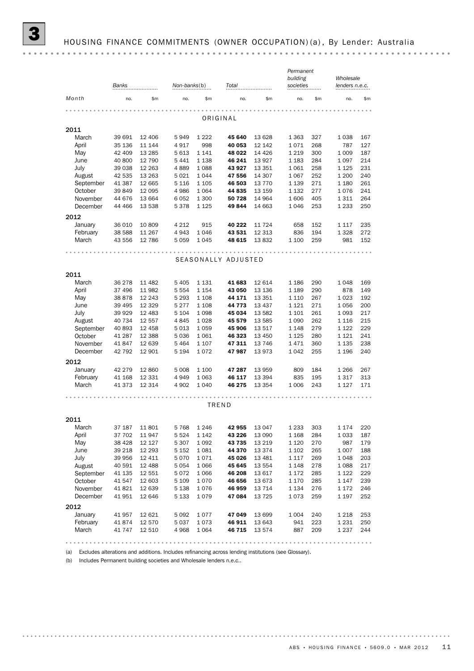|       | <b>Banks</b><br> |         | $Non-banks(b)$<br> |               | Total<br> |         | Permanent<br>building<br>societies<br> |     | Wholesale<br>lenders n.e.c.<br> |     |
|-------|------------------|---------|--------------------|---------------|-----------|---------|----------------------------------------|-----|---------------------------------|-----|
| Month | no.              | \$m     | no.                | $\mathsf{Sm}$ | no.       | \$m     | no.                                    | \$m | no.                             | \$m |
|       |                  |         |                    |               |           |         |                                        |     |                                 |     |
|       |                  |         |                    |               | ORIGINAL  |         |                                        |     |                                 |     |
| 2011  |                  |         |                    |               |           |         |                                        |     |                                 |     |
| March | 39 691           | 12 406  | 5949               | 1 2 2 2       | 45 640    | 13 628  | 1 3 6 3                                | 327 | 1038                            | 167 |
| April | 35 136           | 11 144  | 4917               | 998           | 40 053    | 12 142  | 1071                                   | 268 | 787                             | 127 |
| May   | 42 409           | 13 2 85 | 5 6 1 3            | 1 1 4 1       | 48 022    | 14 4 26 | 1 2 1 9                                | 300 | 1 0 0 9                         | 187 |
| June  | 40 800           | 12 790  | 5441               | 1 1 3 8       | 46 241    | 13 9 27 | 1 1 8 3                                | 284 | 1 0 9 7                         | 214 |

| January             | 36 010    | 10 809   | 4 2 1 2   | 915                  | 40 222 | 11 7 24  | 658          | 152 | 1 1 1 7                         | 235 |  |  |  |
|---------------------|-----------|----------|-----------|----------------------|--------|----------|--------------|-----|---------------------------------|-----|--|--|--|
| February            | 38 588    | 11 267   | 4943      | 1046                 | 43 531 | 12 3 13  | 836          | 194 | 1 3 2 8                         | 272 |  |  |  |
| March               | 43 556    | 12 786   | 5 0 5 9   | 1045                 | 48 615 | 13832    | 1 100        | 259 | 981                             | 152 |  |  |  |
|                     |           |          |           |                      |        |          |              |     |                                 |     |  |  |  |
| SEASONALLY ADJUSTED |           |          |           |                      |        |          |              |     |                                 |     |  |  |  |
|                     |           |          |           |                      |        |          |              |     |                                 |     |  |  |  |
| 2011                |           |          |           |                      |        |          |              |     |                                 |     |  |  |  |
| March               | 36 278    | 11 482   | 5 4 0 5   | 1 1 3 1              | 41 683 | 12 614   | 1 1 8 6      | 290 | 1048                            | 169 |  |  |  |
| April               | 37 496    | 11 982   | 5 5 5 4   | 1 1 5 4              | 43 050 | 13 136   | 1 1 8 9      | 290 | 878                             | 149 |  |  |  |
| May                 | 38 878    | 12 2 4 3 | 5 2 9 3   | 1 1 0 8              | 44 171 | 13 351   | 1 1 1 0      | 267 | 1 0 2 3                         | 192 |  |  |  |
| June                | 39 4 95   | 12 3 29  | 5 2 7 7   | 1 1 0 8              | 44 773 | 13 4 37  | 1 1 2 1      | 271 | 1056                            | 200 |  |  |  |
| July                | 39 9 29   | 12 483   | 5 1 0 4   | 1098                 | 45 034 | 13 582   | 1 1 0 1      | 261 | 1 0 9 3                         | 217 |  |  |  |
| August              | 40 734    | 12 557   | 4845      | 1028                 | 45 579 | 13 5 85  | 1 0 9 0      | 262 | 1 1 1 6                         | 215 |  |  |  |
| September           | 40 893    | 12 4 5 8 | 5 0 1 3   | 1059                 | 45 906 | 13517    | 1 1 4 8      | 279 | 1 1 2 2                         | 229 |  |  |  |
| October             | 41 287    | 12 3 8 8 | 5 0 3 6   | 1061                 | 46 323 | 13 450   | 1 1 2 5      | 280 | 1 1 2 1                         | 241 |  |  |  |
| November            | 41847     | 12 639   | 5 4 6 4   | 1 1 0 7              | 47 311 | 13 746   | 1471         | 360 | 1 1 3 5                         | 238 |  |  |  |
| December            | 42 792    | 12 901   | 5 1 9 4   | 1072                 | 47987  | 13973    | 1042         | 255 | 1 1 9 6                         | 240 |  |  |  |
| 2012                |           |          |           |                      |        |          |              |     |                                 |     |  |  |  |
| January             | 42 279    | 12 860   | 5 0 0 8   | 1 100                | 47 287 | 13 959   | 809          | 184 | 1 2 6 6                         | 267 |  |  |  |
| February            | 41 168    | 12 331   | 4949      | 1 0 6 3              | 46 117 | 13 3 94  | 835          | 195 | 1317                            | 313 |  |  |  |
| March               | 41 373    | 12 3 14  | 4 9 0 2   | 1 0 4 0              | 46 275 | 13 3 5 4 | 1 0 0 6      | 243 | 1 1 2 7                         | 171 |  |  |  |
|                     |           |          |           |                      |        |          |              |     |                                 |     |  |  |  |
|                     | TREND     |          |           |                      |        |          |              |     |                                 |     |  |  |  |
|                     |           |          |           |                      |        |          |              |     |                                 |     |  |  |  |
| 2011                |           |          |           |                      |        |          |              |     |                                 |     |  |  |  |
|                     | $-10-110$ |          | $- - - -$ | $\sim$ $\sim$ $\sim$ |        | $\cdots$ | $1000 - 000$ |     | $\cdot$ $\cdot$ $\cdot$ $\cdot$ |     |  |  |  |

December 44 466 13 538 5 378 1 125 49 844 14 663 1 046 253 1 233 250 November 44 676 13 664 6 052 1 300 50 728 14 964 1 606 405 1 311 264 October 41 387 12 665 5 116 1 105 46 503 13 770 1 139 271 1 180 261<br>October 39 849 12 095 4 986 1 064 44 835 13 159 1 132 277 1 076 241 September 41 387 12 665 5 116 1 105 46 503 13 770 1 139 271 1 180 261 August 42 535 13 263 5 021 1 044 **47 556** 14 307 1 067 252 1 200 240 July 39 038 12 263 4 889 1 088 43 927 13 351 1 061 258 1 125 231

| March     | 37 187  | 11801   | 5 7 6 8 | 1 2 4 6 | 42 955   | 13 047   | 1 2 3 3 | 303 | 1 1 7 4 | 220 |
|-----------|---------|---------|---------|---------|----------|----------|---------|-----|---------|-----|
| April     | 37 702  | 11947   | 5 5 2 4 | 1 1 4 2 | 43 2 2 6 | 13 090   | 1 1 6 8 | 284 | 1 0 3 3 | 187 |
| May       | 38 4 28 | 12 127  | 5 3 0 7 | 1092    | 43 735   | 13 2 19  | 1 1 2 0 | 270 | 987     | 179 |
| June      | 39 218  | 12 293  | 5 1 5 2 | 1 0 8 1 | 44 370   | 13 3 7 4 | 1 1 0 2 | 265 | 1 0 0 7 | 188 |
| July      | 39 956  | 12 4 11 | 5 0 7 0 | 1071    | 45 0 26  | 13 4 8 1 | 1 1 1 7 | 269 | 1 0 4 8 | 203 |
| August    | 40 591  | 12 488  | 5 0 5 4 | 1 0 6 6 | 45 645   | 13 554   | 1 1 4 8 | 278 | 1 088   | 217 |
| September | 41 135  | 12 551  | 5 0 7 2 | 1066    | 46 208   | 13 617   | 1 1 7 2 | 285 | 1 1 2 2 | 229 |
| October   | 41 547  | 12 603  | 5 1 0 9 | 1 0 7 0 | 46 656   | 13 673   | 1 1 7 0 | 285 | 1 1 4 7 | 239 |
| November  | 41821   | 12 639  | 5 1 3 8 | 1076    | 46 959   | 13 7 14  | 1 1 3 4 | 276 | 1 1 7 2 | 246 |
| December  | 41951   | 12 646  | 5 1 3 3 | 1079    | 47 084   | 13725    | 1073    | 259 | 1 1 9 7 | 252 |
| 2012      |         |         |         |         |          |          |         |     |         |     |
| January   | 41 957  | 12 621  | 5 0 9 2 | 1077    | 47 049   | 13 699   | 1 0 0 4 | 240 | 1 2 1 8 | 253 |
| February  | 41 874  | 12 570  | 5 0 3 7 | 1 0 7 3 | 46 911   | 13 643   | 941     | 223 | 1 2 3 1 | 250 |
| March     | 41 747  | 12 510  | 4 9 6 8 | 1064    | 46 715   | 13 574   | 887     | 209 | 1 2 3 7 | 244 |
|           |         |         |         |         |          |          |         |     |         |     |

(a) Excludes alterations and additions. Includes refinancing across lending institutions (see Glossary).

(b) Includes Permanent building societies and Wholesale lenders n.e.c..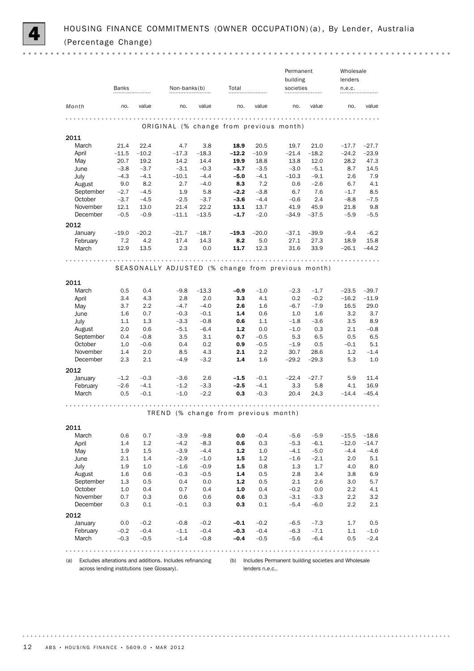

Permanent Wholesale building lenders Banks Non-banks(b) Total societies societies Non-banks(b) Total societies societies n.e.c. *Month no.* value no. value no. value no. value no. value . . . . . . . . . . . . . . . . . . . . . . . . . . . . ORIGINAL (% change from previous month) 2011 March 21.4 22.4 4.7 3.8 18.9 20.5 19.7 21.0 –17.7 –27.7 April -11.5 -10.2 -17.3 -18.3 -12.2 -10.9 -21.4 -18.2 -24.2 -23.9<br>May 20.7 19.2 14.2 14.4 19.9 18.8 13.8 12.0 28.2 47.3 May 20.7 19.2 14.2 14.4 **19.9** 18.8 13.8 12.0 28.2 47.3 June  $-3.8$   $-3.7$   $-3.1$   $-0.3$   $-3.7$   $-3.5$   $-3.0$   $-5.1$   $8.7$   $14.5$ July –4.3 –4.1 –10.1 –4.4 –5.0 –4.1 –10.3 –9.1 2.6 7.9 August 9.0 8.2 2.7 –4.0 8.3 7.2 0.6 –2.6 6.7 4.1 September –2.7 –4.5 1.9 5.8 –2.2 –3.8 6.7 7.6 –1.7 8.5 October –3.7 –4.5 –2.5 –3.7 –3.6 –4.4 –0.6 2.4 –8.8 –7.5 November 12.1 13.0 21.4 22.2 **13.1** 13.7 41.9 45.9 21.8 9.8 December –0.5 –0.9 –11.1 –13.5 –1.7 –2.0 –34.9 –37.5 –5.9 –5.5 2012 January –19.0 –20.2 –21.7 –18.7 –19.3 –20.0 –37.1 –39.9 –9.4 –6.2 February 7.2 4.2 17.4 14.3 **8.2** 5.0 27.1 27.3 18.9 15.8 March 12.9 13.5 2.3 0.0 **11.7** 12.3 31.6 33.9 –26.1 –44.2 SEASONALLY ADJUSTED (% change from previous month) 2011 March 0.5 0.4 –9.8 –1.3.3 **–0.9** –1.0 –2.3 –1.7 –23.5 –39.7 April 3.4 4.3 2.8 2.0 3.3 4.1 0.2 –0.2 –16.2 –11.9 May 3.7 2.2 –4.7 –4.0 **2.6** 1.6 –6.7 –7.9 16.5 29.0 June 1.6 0.7 –0.3 –0.1 1.4 0.6 1.0 1.6 3.2 3.7 July 1.1 1.3 –3.3 –0.8 0.6 1.1 –1.8 –3.6 3.5 8.9 August 2.0 0.6 –5.1 –6.4 **1.2** 0.0 –1.0 0.3 2.1 –0.8 September 0.4 –0.8 3.5 3.1 **0.7** –0.5 5.3 6.5 0.5 6.5 October 1.0 –0.6 0.4 0.2 **0.9** –0.5 –1.9 0.5 –0.1 5.1 November 1.4 2.0 8.5 4.3 **2.1** 2.2 30.7 28.6 1.2 -1.4 December 2.3 2.1 –4.9 –3.2 1.4 1.6 –29.2 –29.3 5.3 1.0 2012 January –1.2 –0.3 –3.6 2.6 –1.5 –0.1 –22.4 –27.7 5.9 11.4 February –2.6 –4.1 –1.2 –3.3 –2.5 –4.1 3.3 5.8 4.1 16.9 March 0.5 –0.1 –1.0 –2.2 **0.3** –0.3 20.4 24.3 –14.4 –45.4 TREND (% change from previous month) 2011 March 0.6 0.7 –3.9 –9.8 **0.0** –0.4 –5.6 –5.9 –15.5 –18.6<br>April 1.4 1.2 –4.2 –8.3 **0.6** 0.3 –5.3 –6.1 –12.0 –14.7 April 1.4 1.2 –4.2 –8.3 **0.6** 0.3 –5.3 –6.1 –12.0 –14.7 May 1.9 1.5 –3.9 –4.4 **1.2** 1.0 –4.1 –5.0 –4.4 –4.6 June 2.1 1.4 –2.9 –1.0 1.5 1.2 –1.6 –2.1 2.0 5.1 July 1.9 1.0 –1.6 –0.9 1.5 0.8 1.3 1.7 4.0 8.0 August 1.6 0.6 –0.3 –0.5 1.4 0.5 2.8 3.4 3.8 6.9 September 1.3 0.5 0.4 0.0 **1.2** 0.5 2.1 2.6 3.0 5.7 October 1.0 0.4 0.7 0.4 1.0 0.4 –0.2 0.0 2.2 4.1 November 0.7 0.3 0.6 0.6 **0.6** 0.3 –3.1 –3.3 2.2 3.2 December 0.3 0.1 –0.1 0.3 **0.3** 0.1 –5.4 –6.0 2.2 2.1 2012 January 0.0 –0.2 –0.8 –0.2 **–0.1** –0.2 –6.5 –7.3 1.7 0.5 February  $-0.2$   $-0.4$   $-1.1$   $-0.4$   $-0.3$   $-0.4$   $-6.3$   $-7.1$   $1.1$   $-1.0$ March –0.3 –0.5 –1.4 –0.8 **–0.4** –0.5 –5.6 –6.4 0.5 –2.4 . . . . . . . . . . . . . . . . . . . . 

(a) Excludes alterations and additions. Includes refinancing across lending institutions (see Glossary).

(b) Includes Permanent building societies and Wholesale lenders n.e.c..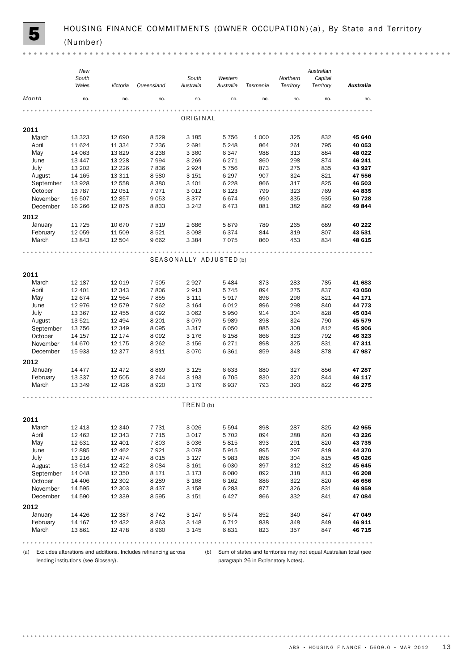(a) Excludes alterations and additions. Includes refinancing across lending institutions (see Glossary).

(b) Sum of states and territories may not equal Australian total (see paragraph 26 in Explanatory Notes).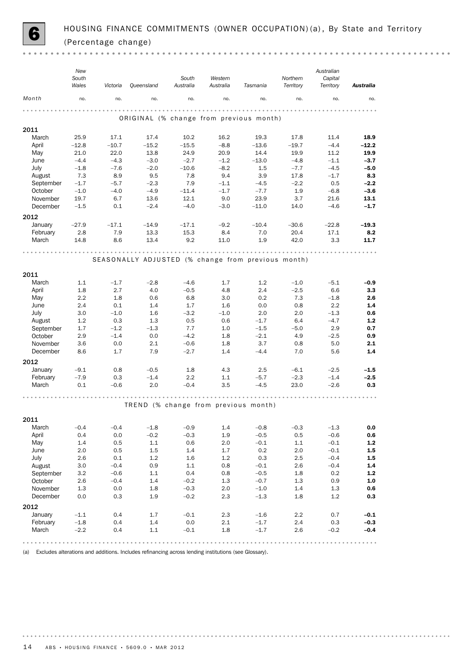

 $\sim$   $\sim$ 

|                      | New<br>South<br>Wales | Victoria         | Queensland                                         | South<br>Australia | Western<br>Australia | Tasmania         | Northern<br>Territory | Australian<br>Capital<br>Territory | <b>Australia</b> |
|----------------------|-----------------------|------------------|----------------------------------------------------|--------------------|----------------------|------------------|-----------------------|------------------------------------|------------------|
| Month                | no.                   | no.              | no.                                                | no.                | no.                  | no.              | no.                   | no.                                | no.              |
|                      |                       |                  | ORIGINAL (% change from previous month)            |                    |                      |                  |                       |                                    |                  |
| 2011                 |                       |                  |                                                    |                    |                      |                  |                       |                                    |                  |
| March                | 25.9                  | 17.1             | 17.4                                               | 10.2               | 16.2                 | 19.3             | 17.8                  | 11.4                               | 18.9             |
| April                | $-12.8$               | $-10.7$          | $-15.2$                                            | $-15.5$            | $-8.8$               | $-13.6$          | $-19.7$               | $-4.4$                             | $-12.2$          |
| May                  | 21.0                  | 22.0             | 13.8                                               | 24.9               | 20.9                 | 14.4             | 19.9                  | 11.2                               | 19.9             |
| June                 | $-4.4$                | $-4.3$           | $-3.0$                                             | $-2.7$             | $-1.2$               | $-13.0$          | $-4.8$                | $-1.1$                             | $-3.7$           |
| July                 | $-1.8$                | $-7.6$           | $-2.0$                                             | $-10.6$            | $-8.2$               | 1.5              | $-7.7$                | $-4.5$                             | $-5.0$           |
| August               | 7.3                   | 8.9              | 9.5                                                | 7.8                | 9.4                  | 3.9              | 17.8                  | $-1.7$                             | 8.3              |
| September<br>October | $-1.7$<br>$-1.0$      | $-5.7$<br>$-4.0$ | $-2.3$<br>$-4.9$                                   | 7.9<br>$-11.4$     | $-1.1$<br>$-1.7$     | $-4.5$<br>$-7.7$ | $-2.2$<br>1.9         | 0.5<br>$-6.8$                      | $-2.2$<br>$-3.6$ |
| November             | 19.7                  | 6.7              | 13.6                                               | 12.1               | 9.0                  | 23.9             | 3.7                   | 21.6                               | 13.1             |
| December             | $-1.5$                | 0.1              | $-2.4$                                             | $-4.0$             | $-3.0$               | $-11.0$          | 14.0                  | $-4.6$                             | $-1.7$           |
|                      |                       |                  |                                                    |                    |                      |                  |                       |                                    |                  |
| 2012                 |                       |                  |                                                    |                    |                      |                  |                       |                                    |                  |
| January              | $-27.9$               | $-17.1$          | $-14.9$                                            | $-17.1$            | $-9.2$               | $-10.4$          | $-30.6$               | $-22.8$                            | $-19.3$          |
| February             | 2.8                   | 7.9              | 13.3                                               | 15.3               | 8.4                  | 7.0              | 20.4                  | 17.1                               | 8.2              |
| March                | 14.8                  | 8.6              | 13.4                                               | 9.2                | 11.0                 | 1.9              | 42.0                  | 3.3                                | 11.7             |
|                      |                       |                  |                                                    |                    |                      |                  |                       |                                    |                  |
|                      |                       |                  | SEASONALLY ADJUSTED (% change from previous month) |                    |                      |                  |                       |                                    |                  |
| 2011                 |                       |                  |                                                    |                    |                      |                  |                       |                                    |                  |
| March                | 1.1                   | $-1.7$           | $-2.8$                                             | $-4.6$             | 1.7                  | 1.2              | $-1.0$                | $-5.1$                             | $-0.9$           |
| April                | 1.8                   | 2.7              | 4.0                                                | $-0.5$             | 4.8                  | 2.4              | $-2.5$                | 6.6                                | 3.3              |
| May                  | $2.2\,$               | 1.8              | 0.6                                                | 6.8                | 3.0                  | 0.2              | 7.3                   | $-1.8$                             | 2.6              |
| June                 | 2.4                   | 0.1              | 1.4                                                | 1.7                | 1.6                  | 0.0              | 0.8                   | 2.2                                | 1.4              |
| July                 | 3.0                   | $-1.0$           | 1.6                                                | $-3.2$             | $-1.0$               | 2.0              | 2.0                   | $-1.3$                             | 0.6              |
| August               | 1.2                   | 0.3              | 1.3                                                | 0.5                | 0.6                  | $-1.7$           | 6.4                   | $-4.7$                             | $1.2$            |
| September            | 1.7                   | $-1.2$           | $-1.3$                                             | 7.7                | 1.0                  | $-1.5$           | $-5.0$                | 2.9                                | 0.7              |
| October              | 2.9                   | $-1.4$           | 0.0                                                | $-4.2$             | 1.8                  | $-2.1$           | 4.9                   | $-2.5$                             | 0.9              |
| November             | 3.6                   | 0.0              | 2.1                                                | $-0.6$             | 1.8                  | 3.7              | 0.8                   | 5.0                                | 2.1              |
| December             | 8.6                   | 1.7              | 7.9                                                | $-2.7$             | 1.4                  | $-4.4$           | 7.0                   | 5.6                                | 1.4              |
| 2012                 |                       |                  |                                                    |                    |                      |                  |                       |                                    |                  |
| January              | $-9.1$                | 0.8              | $-0.5$                                             | 1.8                | 4.3                  | 2.5              | $-6.1$                | $-2.5$                             | $-1.5$           |
| February             | $-7.9$                | 0.3              | $-1.4$                                             | 2.2                | 1.1                  | $-5.7$           | $-2.3$                | $-1.4$                             | $-2.5$           |
| March                | 0.1                   | $-0.6$           | 2.0                                                | $-0.4$             | 3.5                  | $-4.5$           | 23.0                  | $-2.6$                             | 0.3              |
|                      |                       |                  |                                                    |                    |                      |                  |                       |                                    |                  |
|                      |                       |                  | TREND (% change from previous month)               |                    |                      |                  |                       |                                    |                  |
| 2011                 |                       |                  |                                                    |                    |                      |                  |                       |                                    |                  |
| March                | $-0.4$                | $-0.4$           | $-1.8$                                             | $-0.9$             | 1.4                  | $-0.8$           | $-0.3$                | $-1.3$                             | $0.0\,$          |
| April                | 0.4                   | $0.0\,$          | $-0.2$                                             | $-0.3$             | 1.9                  | $-0.5$           | 0.5                   | $-0.6$                             | 0.6              |
| May                  | 1.4                   | 0.5              | 1.1                                                | 0.6                | 2.0                  | $-0.1$           | 1.1                   | $-0.1$                             | $1.2$            |
| June                 | 2.0                   | 0.5              | 1.5                                                | 1.4                | 1.7                  | 0.2              | 2.0                   | $-0.1$                             | 1.5              |
| July                 | 2.6                   | 0.1              | $1.2\,$                                            | 1.6                | $1.2\,$              | 0.3              | 2.5                   | $-0.4$                             | 1.5              |
| August               | 3.0                   | $-0.4$           | 0.9                                                | 1.1                | 0.8                  | $-0.1$           | 2.6                   | $-0.4$                             | 1.4              |
| September            | 3.2                   | $-0.6$           | 1.1                                                | 0.4                | 0.8                  | $-0.5$           | 1.8                   | 0.2                                | 1.2              |
| October              | 2.6                   | $-0.4$           | 1.4                                                | $-0.2$             | 1.3                  | $-0.7$           | 1.3                   | 0.9                                | $1.0\,$          |
| November             | 1.3                   | 0.0              | 1.8                                                | $-0.3$             | 2.0                  | $-1.0$           | 1.4                   | 1.3                                | 0.6              |
| December             | 0.0                   | 0.3              | 1.9                                                | $-0.2$             | 2.3                  | $-1.3$           | 1.8                   | 1.2                                | 0.3              |
| 2012                 |                       |                  |                                                    |                    |                      |                  |                       |                                    |                  |
| January              | $-1.1$                | 0.4              | 1.7                                                | $-0.1$             | 2.3                  | $-1.6$           | 2.2                   | 0.7                                | $-0.1$           |
| February             | $-1.8$                | 0.4              | $1.4\,$                                            | $0.0\,$            | 2.1                  | $-1.7$           | $2.4\,$               | 0.3                                | $-0.3$           |
| March                | $-2.2$                | 0.4              | 1.1                                                | $-0.1$             | 1.8                  | $-1.7$           | 2.6                   | $-0.2$                             | $-0.4$           |
|                      |                       |                  |                                                    |                    |                      |                  |                       |                                    |                  |

(a) Excludes alterations and additions. Includes refinancing across lending institutions (see Glossary).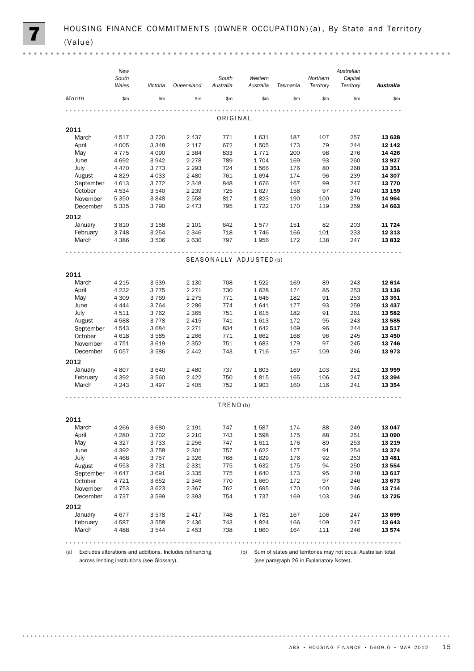|           | New<br>South |          |            | South                   | Western   |          | Northern  | Australian<br>Capital |           |
|-----------|--------------|----------|------------|-------------------------|-----------|----------|-----------|-----------------------|-----------|
|           | Wales        | Victoria | Queensland | Australia               | Australia | Tasmania | Territory | Territory             | Australia |
| Month     | \$m          | \$m\$    | \$m\$      | \$m\$                   | \$m\$     | \$m      | \$m       | \$m                   | \$m       |
|           |              |          |            | ORIGINAL                |           |          |           |                       |           |
| 2011      |              |          |            |                         |           |          |           |                       |           |
| March     | 4517         | 3720     | 2 4 3 7    | 771                     | 1631      | 187      | 107       | 257                   | 13 628    |
| April     | 4 0 0 5      | 3 3 4 8  | 2 1 1 7    | 672                     | 1505      | 173      | 79        | 244                   | 12 14 2   |
| May       | 4775         | 4 0 9 0  | 2 3 8 4    | 833                     | 1771      | 200      | 98        | 276                   | 14 4 26   |
| June      | 4692         | 3942     | 2 2 7 8    | 789                     | 1704      | 169      | 93        | 260                   | 13 9 27   |
| July      | 4 4 7 0      | 3773     | 2 2 9 3    | 724                     | 1566      | 176      | 80        | 268                   | 13 3 5 1  |
| August    | 4829         | 4 0 3 3  | 2 4 8 0    | 761                     | 1694      | 174      | 96        | 239                   | 14 307    |
| September | 4 6 1 3      | 3 7 7 2  | 2 3 4 8    | 848                     | 1676      | 167      | 99        | 247                   | 13770     |
| October   | 4534         | 3 5 4 0  | 2 2 3 9    | 725                     | 1627      | 158      | 97        | 240                   | 13 159    |
| November  | 5 3 5 0      | 3848     | 2 5 5 8    | 817                     | 1823      | 190      | 100       | 279                   | 14 964    |
| December  | 5 3 3 5      | 3790     | 2473       | 795                     | 1722      | 170      | 119       | 259                   | 14 663    |
| 2012      |              |          |            |                         |           |          |           |                       |           |
| January   | 3810         | 3 1 5 8  | 2 101      | 642                     | 1577      | 151      | 82        | 203                   | 11724     |
| February  | 3748         | 3 2 5 4  | 2 3 4 6    | 718                     | 1746      | 166      | 101       | 233                   | 12 3 13   |
| March     | 4 3 8 6      | 3 5 0 6  | 2 6 3 0    | 797                     | 1956      | 172      | 138       | 247                   | 13832     |
|           |              |          |            |                         |           |          |           |                       |           |
|           |              |          |            | SEASONALLY ADJUSTED (b) |           |          |           |                       |           |
| 2011      |              |          |            |                         |           |          |           |                       |           |
| March     | 4 2 1 5      | 3 5 3 9  | 2 1 3 0    | 708                     | 1522      | 169      | 89        | 243                   | 12 614    |
| April     | 4 2 3 2      | 3775     | 2 2 7 1    | 730                     | 1628      | 174      | 85        | 253                   | 13 136    |
| May       | 4 3 0 9      | 3769     | 2 2 7 5    | 771                     | 1646      | 182      | 91        | 253                   | 13 351    |
| June      | 4 4 4 4      | 3764     | 2 2 8 6    | 774                     | 1641      | 177      | 93        | 259                   | 13 4 37   |
| July      | 4511         | 3762     | 2 3 6 5    | 751                     | 1615      | 182      | 91        | 261                   | 13 5 82   |
| August    | 4588         | 3778     | 2 4 1 5    | 741                     | 1613      | 172      | 95        | 243                   | 13 5 85   |
| September | 4 5 4 3      | 3 6 8 4  | 2 2 7 1    | 834                     | 1642      | 169      | 96        | 244                   | 13 517    |
| October   | 4 6 18       | 3 5 8 5  | 2 2 6 6    | 771                     | 1662      | 168      | 96        | 245                   | 13 450    |
| November  | 4 7 5 1      | 3619     | 2 3 5 2    | 751                     | 1683      | 179      | 97        | 245                   | 13746     |
| December  | 5 0 5 7      | 3586     | 2442       | 743                     | 1716      | 167      | 109       | 246                   | 13973     |
| 2012      |              |          |            |                         |           |          |           |                       |           |
| January   | 4807         | 3640     | 2 4 8 0    | 737                     | 1803      | 169      | 103       | 251                   | 13 959    |
| February  | 4 3 9 2      | 3 5 6 0  | 2 4 2 2    | 750                     | 1815      | 165      | 106       | 247                   | 13 3 94   |
| March     | 4 2 4 3      | 3 4 9 7  | 2 4 0 5    | 752                     | 1903      | 160      | 116       | 241                   | 13 3 5 4  |
|           |              |          |            |                         |           |          |           |                       |           |
|           |              |          |            | TRED(b)                 |           |          |           |                       |           |
| 2011      |              |          |            |                         |           |          |           |                       |           |
| March     | 4 2 6 6      | 3 6 8 0  | 2 1 9 1    | 747                     | 1587      | 174      | 88        | 249                   | 13 047    |
| April     | 4 2 8 0      | 3 7 0 2  | 2 2 1 0    | 743                     | 1598      | 175      | 88        | 251                   | 13 090    |
| May       | 4 3 2 7      | 3733     | 2 2 5 6    | 747                     | 1611      | 176      | 89        | 253                   | 13 2 19   |
| June      | 4 3 9 2      | 3758     | 2 3 0 1    | 757                     | 1622      | 177      | 91        | 254                   | 13 3 7 4  |
| July      | 4 4 6 8      | 3757     | 2 3 2 6    | 768                     | 1629      | 176      | 92        | 253                   | 13 4 8 1  |
| August    | 4553         | 3731     | 2 3 3 1    | 775                     | 1632      | 175      | 94        | 250                   | 13 5 54   |
| September | 4647         | 3691     | 2 3 3 5    | 775                     | 1640      | 173      | 95        | 248                   | 13617     |
| October   | 4 7 2 1      | 3652     | 2 3 4 6    | 770                     | 1660      | 172      | 97        | 246                   | 13673     |
| November  | 4 7 5 3      | 3623     | 2 3 6 7    | 762                     | 1695      | 170      | 100       | 246                   | 13 7 14   |
| December  | 4 7 3 7      | 3599     | 2 3 9 3    | 754                     | 1737      | 169      | 103       | 246                   | 13725     |
| 2012      |              |          |            |                         |           |          |           |                       |           |
| January   | 4677         | 3578     | 2 4 1 7    | 748                     | 1781      | 167      | 106       | 247                   | 13 699    |
| February  | 4587         | 3 5 5 8  | 2 4 3 6    | 743                     | 1824      | 166      | 109       | 247                   | 13 643    |
| March     | 4 4 8 8      | 3544     | 2 4 5 3    | 738                     | 1860      | 164      | 111       | 246                   | 13 574    |
|           |              |          |            |                         |           |          |           |                       |           |

(a) Excludes alterations and additions. Includes refinancing across lending institutions (see Glossary).

(b) Sum of states and territories may not equal Australian total (see paragraph 26 in Explanatory Notes).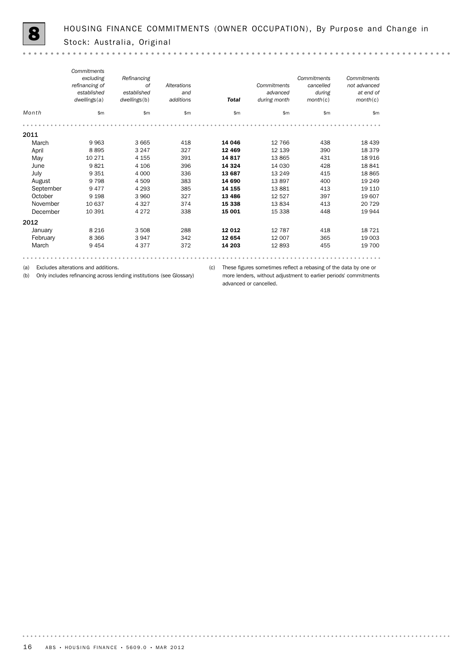| Month     | Commitments<br>excluding<br>refinancing of<br>established<br>dwellings(a)<br>\$m\$ | Refinancing<br>0f<br>established<br>dwellings(b)<br>\$m | Alterations<br>and<br>additions<br>\$m | <b>Total</b><br>\$m\$ | Commitments<br>advanced<br>during month<br>\$m\$ | Commitments<br>cancelled<br>during<br>month(c)<br>\$m\$ | Commitments<br>not advanced<br>at end of<br>month(c)<br>\$m |
|-----------|------------------------------------------------------------------------------------|---------------------------------------------------------|----------------------------------------|-----------------------|--------------------------------------------------|---------------------------------------------------------|-------------------------------------------------------------|
|           |                                                                                    |                                                         |                                        |                       |                                                  |                                                         |                                                             |
| 2011      |                                                                                    |                                                         |                                        |                       |                                                  |                                                         |                                                             |
| March     | 9963                                                                               | 3 6 6 5                                                 | 418                                    | 14 046                | 12 766                                           | 438                                                     | 18 4 39                                                     |
| April     | 8895                                                                               | 3 2 4 7                                                 | 327                                    | 12 4 69               | 12 139                                           | 390                                                     | 18 379                                                      |
| May       | 10 271                                                                             | 4 1 5 5                                                 | 391                                    | 14817                 | 13865                                            | 431                                                     | 18 916                                                      |
| June      | 9821                                                                               | 4 1 0 6                                                 | 396                                    | 14 3 24               | 14 030                                           | 428                                                     | 18 841                                                      |
| July      | 9 3 5 1                                                                            | 4 0 0 0                                                 | 336                                    | 13 687                | 13 2 4 9                                         | 415                                                     | 18 8 65                                                     |
| August    | 9 7 9 8                                                                            | 4 5 0 9                                                 | 383                                    | 14 690                | 13897                                            | 400                                                     | 19 24 9                                                     |
| September | 9477                                                                               | 4 2 9 3                                                 | 385                                    | 14 155                | 13881                                            | 413                                                     | 19 110                                                      |
| October   | 9 1 9 8                                                                            | 3 9 6 0                                                 | 327                                    | 13 4 86               | 12 5 27                                          | 397                                                     | 19 607                                                      |
| November  | 10 637                                                                             | 4 3 2 7                                                 | 374                                    | 15 338                | 13834                                            | 413                                                     | 20 7 29                                                     |
| December  | 10 391                                                                             | 4 2 7 2                                                 | 338                                    | 15 001                | 15 338                                           | 448                                                     | 19 944                                                      |
| 2012      |                                                                                    |                                                         |                                        |                       |                                                  |                                                         |                                                             |
| January   | 8 2 1 6                                                                            | 3 5 0 8                                                 | 288                                    | 12 012                | 12 787                                           | 418                                                     | 18 721                                                      |
| February  | 8 3 6 6                                                                            | 3947                                                    | 342                                    | 12 654                | 12 007                                           | 365                                                     | 19 003                                                      |
| March     | 9454                                                                               | 4 3 7 7                                                 | 372                                    | 14 203                | 12893                                            | 455                                                     | 19 700                                                      |

(a) Excludes alterations and additions.

(b) Only includes refinancing across lending institutions (see Glossary)

(c) These figures sometimes reflect a rebasing of the data by one or more lenders, without adjustment to earlier periods' commitments advanced or cancelled.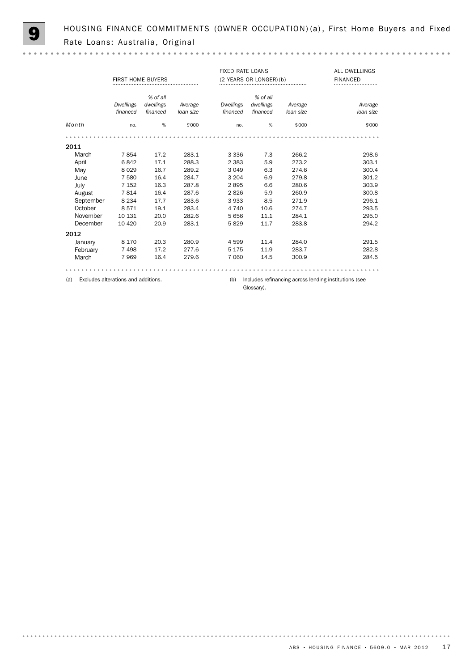HOUSING FINANCE COMMITMENTS (OWNER OCCUPATION) (a), First Home Buyers and Fixed Rate Loans: Australia, Original

 $\mathbf{a} \cdot \mathbf{a} \cdot \mathbf{a} \cdot \mathbf{a}$ 

|           | FIRST HOME BUYERS                   |                       |           | <b>FIXED RATE LOANS</b><br>(2 YEARS OR LONGER) (b) |                       |           | ALL DWELLINGS<br><b>FINANCED</b>                      |
|-----------|-------------------------------------|-----------------------|-----------|----------------------------------------------------|-----------------------|-----------|-------------------------------------------------------|
|           | <b>Dwellings</b>                    | % of all<br>dwellings | Average   | Dwellings                                          | % of all<br>dwellings | Average   | Average                                               |
|           | financed                            | financed              | loan size | financed                                           | financed              | loan size | loan size                                             |
| Month     | no.                                 | %                     | \$'000    | no.                                                | %                     | \$'000    | \$'000                                                |
|           |                                     |                       |           |                                                    |                       |           |                                                       |
| 2011      |                                     |                       |           |                                                    |                       |           |                                                       |
| March     | 7854                                | 17.2                  | 283.1     | 3 3 3 6                                            | 7.3                   | 266.2     | 298.6                                                 |
| April     | 6842                                | 17.1                  | 288.3     | 2 3 8 3                                            | 5.9                   | 273.2     | 303.1                                                 |
| May       | 8029                                | 16.7                  | 289.2     | 3 0 4 9                                            | 6.3                   | 274.6     | 300.4                                                 |
| June      | 7 5 8 0                             | 16.4                  | 284.7     | 3 2 0 4                                            | 6.9                   | 279.8     | 301.2                                                 |
| July      | 7 1 5 2                             | 16.3                  | 287.8     | 2895                                               | 6.6                   | 280.6     | 303.9                                                 |
| August    | 7814                                | 16.4                  | 287.6     | 2826                                               | 5.9                   | 260.9     | 300.8                                                 |
| September | 8 2 3 4                             | 17.7                  | 283.6     | 3933                                               | 8.5                   | 271.9     | 296.1                                                 |
| October   | 8571                                | 19.1                  | 283.4     | 4 7 4 0                                            | 10.6                  | 274.7     | 293.5                                                 |
| November  | 10 131                              | 20.0                  | 282.6     | 5 6 5 6                                            | 11.1                  | 284.1     | 295.0                                                 |
| December  | 10 4 20                             | 20.9                  | 283.1     | 5829                                               | 11.7                  | 283.8     | 294.2                                                 |
| 2012      |                                     |                       |           |                                                    |                       |           |                                                       |
| January   | 8 1 7 0                             | 20.3                  | 280.9     | 4599                                               | 11.4                  | 284.0     | 291.5                                                 |
| February  | 7498                                | 17.2                  | 277.6     | 5 1 7 5                                            | 11.9                  | 283.7     | 282.8                                                 |
| March     | 7969                                | 16.4                  | 279.6     | 7 0 6 0                                            | 14.5                  | 300.9     | 284.5                                                 |
|           |                                     |                       |           |                                                    |                       |           |                                                       |
| (a)       | Excludes alterations and additions. |                       |           | (b)                                                |                       |           | Includes refinancing across lending institutions (see |

Glossary).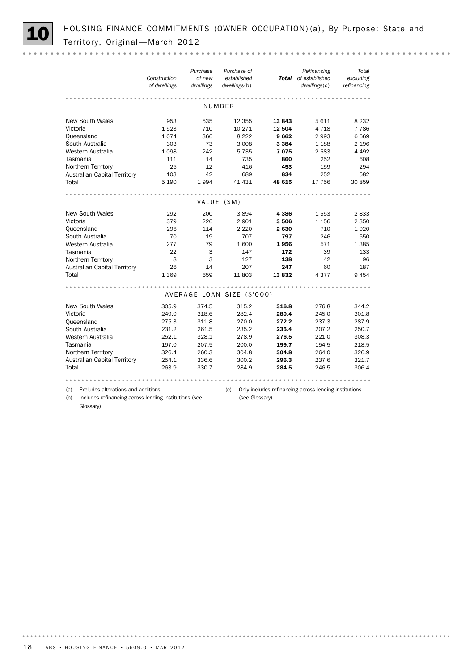

HOUSING FINANCE COMMITMENTS (OWNER OCCUPATION) (a), By Purpose: State and Territory, Original - March 2012

|          |                                                       | Construction<br>of dwellings | Purchase<br>of new<br>dwellings | Purchase of<br>established<br>dwellings(b) |                | Refinancing<br>Total of established<br>dwellings(c)   | Total<br>excluding<br>refinancing |
|----------|-------------------------------------------------------|------------------------------|---------------------------------|--------------------------------------------|----------------|-------------------------------------------------------|-----------------------------------|
|          |                                                       |                              |                                 | NUMBER                                     |                |                                                       |                                   |
|          | <b>New South Wales</b>                                | 953                          | 535                             | 12 3 5 5                                   | 13843          | 5611                                                  | 8 2 3 2                           |
| Victoria |                                                       | 1523                         | 710                             | 10 271                                     | 12 504         | 4 7 1 8                                               | 7 7 8 6                           |
|          | Queensland                                            | 1074                         | 366                             | 8 2 2 2                                    | 9662           | 2993                                                  | 6669                              |
|          | South Australia                                       | 303                          | 73                              | 3 0 0 8                                    | 3 3 8 4        | 1 1 8 8                                               | 2 1 9 6                           |
|          | Western Australia                                     | 1 0 9 8                      | 242                             | 5 7 3 5                                    | 7075           | 2 5 8 3                                               | 4 4 9 2                           |
|          | Tasmania                                              | 111                          | 14                              | 735                                        | 860            | 252                                                   | 608                               |
|          | Northern Territory                                    | 25                           | 12                              | 416                                        | 453            | 159                                                   | 294                               |
|          | <b>Australian Capital Territory</b>                   | 103                          | 42                              | 689                                        | 834            | 252                                                   | 582                               |
| Total    |                                                       | 5 1 9 0                      | 1994                            | 41 431                                     | 48 615         | 17 756                                                | 30 859                            |
|          |                                                       |                              |                                 |                                            |                |                                                       |                                   |
|          |                                                       |                              |                                 | VALUE (\$M)                                |                |                                                       |                                   |
|          | <b>New South Wales</b>                                | 292                          | 200                             | 3894                                       | 4 3 8 6        | 1553                                                  | 2833                              |
| Victoria |                                                       | 379                          | 226                             | 2 9 0 1                                    | 3506           | 1 1 5 6                                               | 2 3 5 0                           |
|          | Queensland                                            | 296                          | 114                             | 2 2 2 0                                    | 2630           | 710                                                   | 1920                              |
|          | South Australia                                       | 70                           | 19                              | 707                                        | 797            | 246                                                   | 550                               |
|          | Western Australia                                     | 277                          | 79                              | 1600                                       | 1956           | 571                                                   | 1 3 8 5                           |
|          | Tasmania                                              | 22                           | 3                               | 147                                        | 172            | 39                                                    | 133                               |
|          | Northern Territory                                    | 8                            | 3                               | 127                                        | 138            | 42                                                    | 96                                |
|          | <b>Australian Capital Territory</b>                   | 26                           | 14                              | 207                                        | 247            | 60                                                    | 187                               |
| Total    |                                                       | 1 3 6 9                      | 659                             | 11803                                      | 13832          | 4 3 7 7                                               | 9 4 5 4                           |
|          |                                                       |                              |                                 |                                            |                |                                                       |                                   |
|          |                                                       |                              |                                 | AVERAGE LOAN SIZE (\$'000)                 |                |                                                       |                                   |
|          | <b>New South Wales</b>                                | 305.9                        | 374.5                           | 315.2                                      | 316.8          | 276.8                                                 | 344.2                             |
| Victoria |                                                       | 249.0                        | 318.6                           | 282.4                                      | 280.4          | 245.0                                                 | 301.8                             |
|          | Queensland                                            | 275.3                        | 311.8                           | 270.0                                      | 272.2          | 237.3                                                 | 287.9                             |
|          | South Australia                                       | 231.2                        | 261.5                           | 235.2                                      | 235.4          | 207.2                                                 | 250.7                             |
|          | Western Australia                                     | 252.1                        | 328.1                           | 278.9                                      | 276.5          | 221.0                                                 | 308.3                             |
|          | Tasmania                                              | 197.0                        | 207.5                           | 200.0                                      | 199.7          | 154.5                                                 | 218.5                             |
|          | Northern Territory                                    | 326.4                        | 260.3                           | 304.8                                      | 304.8          | 264.0                                                 | 326.9                             |
|          | <b>Australian Capital Territory</b>                   | 254.1                        | 336.6                           | 300.2                                      | 296.3          | 237.6                                                 | 321.7                             |
| Total    |                                                       | 263.9                        | 330.7                           | 284.9                                      | 284.5          | 246.5                                                 | 306.4                             |
|          |                                                       |                              |                                 |                                            |                |                                                       |                                   |
| (a)      | Excludes alterations and additions.                   |                              |                                 | (c)                                        |                | Only includes refinancing across lending institutions |                                   |
| (b)      | Includes refinancing across lending institutions (see |                              |                                 |                                            | (see Glossary) |                                                       |                                   |
|          | Glossary).                                            |                              |                                 |                                            |                |                                                       |                                   |

18 ABS • HOUSING FINANCE • 5609.0 • MAR 2012

. . . . . . . . .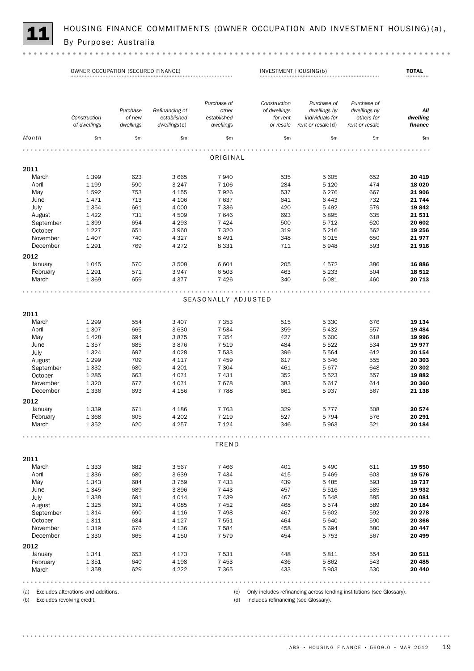

HOUSING FINANCE COMMITMENTS (OWNER OCCUPATION AND INVESTMENT HOUSING)(a),<br>By Purpose: Australia

OWNER OCCUPATION (SECURED FINANCE) INVESTMENT HOUSING(b) TOTAL

|           |              |           |                | Purchase of         | Construction | Purchase of         | Purchase of    |          |
|-----------|--------------|-----------|----------------|---------------------|--------------|---------------------|----------------|----------|
|           |              | Purchase  | Refinancing of | other               | of dwellings | dwellings by        | dwellings by   | All      |
|           | Construction | of new    | established    | established         | for rent     | individuals for     | others for     | dwelling |
|           | of dwellings | dwellings | dwellings(c)   | dwellings           | or resale    | rent or $resale(d)$ | rent or resale | finance  |
| Month     | \$m          | \$m\$     | \$m\$          | \$m                 | \$m\$        | \$m                 | \$m\$          | \$m      |
|           |              |           |                | ORIGINAL            |              |                     |                |          |
| 2011      |              |           |                |                     |              |                     |                |          |
| March     | 1 3 9 9      | 623       | 3 6 6 5        | 7940                | 535          | 5 6 0 5             | 652            | 20 419   |
| April     | 1 1 9 9      | 590       | 3 2 4 7        | 7 1 0 6             | 284          | 5 1 2 0             | 474            | 18 0 20  |
| May       | 1592         | 753       | 4 1 5 5        | 7926                | 537          | 6 2 7 6             | 667            | 21 906   |
| June      | 1471         | 713       | 4 1 0 6        | 7637                | 641          | 6 4 4 3             | 732            | 21 744   |
|           | 1 3 5 4      | 661       | 4 0 0 0        | 7 3 3 6             | 420          | 5 4 9 2             | 579            | 19842    |
| July      |              |           |                |                     |              |                     |                |          |
| August    | 1422         | 731       | 4 5 0 9        | 7646                | 693          | 5895                | 635            | 21 531   |
| September | 1 3 9 9      | 654       | 4 2 9 3        | 7 4 2 4             | 500          | 5 7 1 2             | 620            | 20 602   |
| October   | 1 2 2 7      | 651       | 3 9 6 0        | 7 3 2 0             | 319          | 5 2 1 6             | 562            | 19 256   |
| November  | 1 4 0 7      | 740       | 4 3 2 7        | 8 4 9 1             | 348          | 6 0 1 5             | 650            | 21977    |
| December  | 1 2 9 1      | 769       | 4 2 7 2        | 8 3 3 1             | 711          | 5948                | 593            | 21916    |
| 2012      |              |           |                |                     |              |                     |                |          |
| January   | 1045         | 570       | 3 5 0 8        | 6 601               | 205          | 4572                | 386            | 16886    |
| February  | 1 2 9 1      | 571       | 3947           | 6503                | 463          | 5 2 3 3             | 504            | 18 5 12  |
| March     | 1 3 6 9      | 659       | 4377           | 7 4 2 6             | 340          | 6 0 8 1             | 460            | 20 713   |
|           |              |           |                |                     |              |                     |                |          |
|           |              |           |                | SEASONALLY ADJUSTED |              |                     |                |          |
| 2011      |              |           |                |                     |              |                     |                |          |
| March     | 1 2 9 9      | 554       | 3 4 0 7        | 7 3 5 3             | 515          | 5 3 3 0             | 676            | 19 134   |
| April     | 1 3 0 7      | 665       | 3 6 3 0        | 7 5 3 4             | 359          | 5 4 3 2             | 557            | 19 4 84  |
| May       | 1428         | 694       | 3875           | 7 3 5 4             | 427          | 5 600               | 618            | 19 996   |
| June      | 1357         | 685       | 3876           | 7519                | 484          | 5 5 2 2             | 534            | 19977    |
| July      | 1 3 2 4      | 697       | 4 0 28         | 7 5 3 3             | 396          | 5 5 6 4             | 612            | 20 154   |
| August    | 1 2 9 9      | 709       | 4 1 1 7        | 7 4 5 9             | 617          | 5 5 4 6             | 555            | 20 303   |
| September | 1 3 3 2      | 680       | 4 2 0 1        | 7 3 0 4             | 461          | 5677                | 648            | 20 302   |
| October   | 1 2 8 5      | 663       | 4071           | 7 4 3 1             | 352          | 5 5 2 3             | 557            | 19882    |
| November  | 1 3 2 0      | 677       | 4071           | 7678                | 383          | 5 6 1 7             | 614            | 20 360   |
| December  | 1 3 3 6      | 693       | 4 1 5 6        | 7788                | 661          | 5937                | 567            | 21 138   |
| 2012      |              |           |                |                     |              |                     |                |          |
| January   | 1 3 3 9      | 671       | 4 1 8 6        | 7 7 6 3             | 329          | 5 7 7 7             | 508            | 20 574   |
| February  | 1 3 6 8      | 605       | 4 2 0 2        | 7 2 1 9             | 527          | 5 7 9 4             | 576            | 20 291   |
| March     | 1 3 5 2      | 620       | 4 2 5 7        | 7 1 2 4             | 346          | 5963                | 521            | 20 184   |
|           |              |           |                |                     |              |                     |                |          |
|           |              |           |                | TREND               |              |                     |                |          |
| 2011      |              |           |                |                     |              |                     |                |          |
| March     | 1 3 3 3      | 682       | 3567           | 7 4 6 6             | 401          | 5 4 9 0             | 611            | 19 550   |
| April     | 1336         | 680       | 3 6 3 9        | 7 4 3 4             | 415          | 5 4 6 9             | 603            | 19576    |
| May       | 1 3 4 3      | 684       | 3759           | 7 4 3 3             | 439          | 5 4 8 5             | 593            | 19 737   |
| June      | 1 3 4 5      | 689       | 3896           | 7 4 4 3             | 457          | 5 5 1 6             | 585            | 19 932   |
| July      | 1338         | 691       | 4014           | 7 4 3 9             | 467          | 5 5 4 8             | 585            | 20 081   |
| August    | 1 3 2 5      | 691       | 4 0 8 5        | 7452                | 468          | 5574                | 589            | 20 184   |
| September | 1314         | 690       | 4 1 1 6        | 7498                | 467          | 5 602               | 592            | 20 278   |
|           |              |           |                |                     |              |                     |                |          |
| October   | 1311         | 684       | 4 1 2 7        | 7 5 5 1             | 464          | 5 6 4 0             | 590            | 20 366   |

ABS • HOUSING FINANCE • 5609.0 • MAR 2012 19

2012

(d) Includes refinancing (see Glossary).

March 1 358 629 4 222 7 365 433 5 903 530 **20 440** February 1 351 640 4 198 7 453 436 5 862 5 43 **20 485** January 1 341 653 4 173 7 531 448 5 811 554 **20 511** 

December 1 330 665 4 150 7 579 454 5 753 567 **20 499** November 1 319 676 4 136 7 584 458 5 694 5 80 20 447

(c) Only includes refinancing across lending institutions (see Glossary).

(a) Excludes alterations and additions. (b) Excludes revolving credit.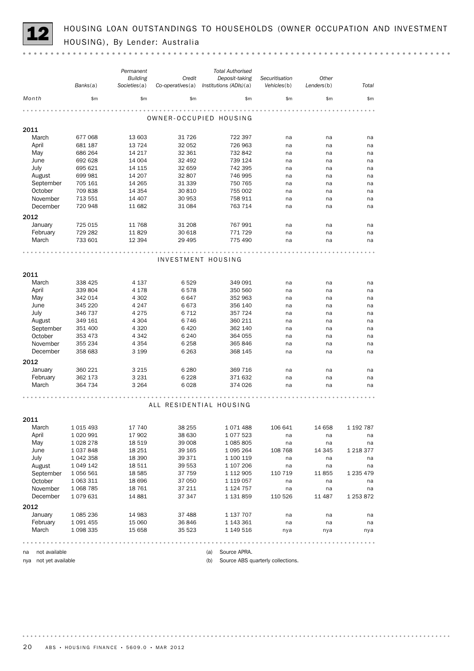HOUSING LOAN OUTSTANDINGS TO HOUSEHOLDS (OWNER OCCUPATION AND INVESTMENT HOUSING), By Lender: Australia

|                       |                        | Permanent                       |                            | <b>Total Authorised</b>                  |                                   |                     |               |
|-----------------------|------------------------|---------------------------------|----------------------------|------------------------------------------|-----------------------------------|---------------------|---------------|
|                       | Banks(a)               | <b>Building</b><br>Societies(a) | Credit<br>Co-operatives(a) | Deposit-taking<br>Institutions (ADIs)(a) | Securitisation<br>Vehicles(b)     | Other<br>Lenders(b) | Total         |
| Month                 | \$m                    | \$m\$                           | \$m                        | \$m\$                                    | \$m\$                             | \$m                 | \$m\$         |
|                       |                        |                                 |                            | OWNER-OCCUPIED HOUSING                   |                                   |                     |               |
| 2011                  |                        |                                 |                            |                                          |                                   |                     |               |
| March                 | 677 068                | 13 603                          | 31 7 26                    | 722 397                                  | na                                | na                  | na            |
| April                 | 681 187                | 13 7 24                         | 32 052                     | 726 963                                  | na                                | na                  | na            |
| May                   | 686 264                | 14 217                          | 32 361                     | 732 842                                  | na                                | na                  | na            |
| June                  | 692 628                | 14 004                          | 32 492                     | 739 124                                  | na                                | na                  | na            |
| July                  | 695 621                | 14 115                          | 32 659                     | 742 395                                  | na                                | na                  | na            |
| August                | 699 981                | 14 207                          | 32 807                     | 746 995                                  | na                                | na                  | na            |
| September             | 705 161                | 14 265                          | 31 339                     | 750 765                                  | na                                | na                  | na            |
| October               | 709 838                | 14 3 54                         | 30 810                     | 755 002                                  | na                                | na                  | na            |
| November              | 713 551                | 14 407                          | 30 953                     | 758 911                                  | na                                | na                  | na            |
| December              | 720 948                | 11 682                          | 31 084                     | 763 714                                  | na                                | na                  | na            |
| 2012                  |                        |                                 |                            |                                          |                                   |                     |               |
| January               | 725 015                | 11 768                          | 31 208                     | 767 991                                  | na                                | na                  | na            |
| February              | 729 282                | 11829                           | 30 618                     | 771 729                                  | na                                | na                  | na            |
| March                 | 733 601                | 12 3 94                         | 29 4 95                    | 775 490                                  | na                                | na                  | na            |
|                       |                        |                                 |                            |                                          |                                   |                     |               |
|                       |                        |                                 |                            | INVESTMENT HOUSING                       |                                   |                     |               |
|                       |                        |                                 |                            |                                          |                                   |                     |               |
| 2011                  |                        |                                 |                            |                                          |                                   |                     |               |
| March                 | 338 425                | 4 1 3 7                         | 6529                       | 349 091                                  | na                                | na                  | na            |
| April                 | 339 804                | 4 1 7 8                         | 6578                       | 350 560                                  | na                                | na                  | na            |
| May                   | 342 014                | 4 3 0 2                         | 6647                       | 352 963                                  | na                                | na                  | na            |
| June                  | 345 220                | 4 247                           | 6673                       | 356 140                                  | na                                | na                  | na            |
| July                  | 346 737                | 4 2 7 5                         | 6 7 1 2                    | 357 724                                  | na                                | na                  | na            |
| August                | 349 161                | 4 3 0 4                         | 6746                       | 360 211                                  | na                                | na                  | na            |
| September             | 351 400                | 4 3 2 0                         | 6420                       | 362 140                                  | na                                | na                  | na            |
| October               | 353 473                | 4 3 4 2                         | 6 2 4 0                    | 364 055                                  | na                                | na                  | na            |
| November              | 355 234                | 4 3 5 4                         | 6 2 5 8                    | 365 846                                  | na                                | na                  | na            |
| December              | 358 683                | 3 1 9 9                         | 6 2 6 3                    | 368 145                                  | na                                | na                  | na            |
| 2012                  |                        |                                 |                            |                                          |                                   |                     |               |
| January               | 360 221                | 3 2 1 5                         | 6 2 8 0                    | 369 716                                  | na                                | na                  | na            |
| February              | 362 173                | 3 2 3 1                         | 6 2 2 8                    | 371 632                                  | na                                | na                  | na            |
| March                 | 364 734                | 3 2 6 4                         | 6028                       | 374 026                                  | na                                | na                  | na            |
|                       |                        |                                 |                            |                                          |                                   |                     |               |
|                       |                        |                                 |                            |                                          |                                   |                     |               |
|                       |                        |                                 |                            | ALL RESIDENTIAL HOUSING                  |                                   |                     |               |
| 2011                  |                        |                                 |                            |                                          |                                   |                     |               |
| March                 | 1 0 1 5 4 9 3          | 17 740                          | 38 255                     | 1071488                                  | 106 641                           | 14 658              | 1 192 787     |
| April                 | 1 0 20 9 9 1           | 17 902                          | 38 630                     | 1077523                                  | na                                | na                  | na            |
| May                   | 1 0 28 2 78            | 18 5 19                         | 39 008                     | 1 085 805                                | na                                | na                  | na            |
| June                  | 1 037 848              | 18 251                          | 39 165                     | 1 095 264                                | 108 768                           | 14 345              | 1 2 1 8 3 7 7 |
| July                  | 1 042 358              | 18 390                          | 39 371                     | 1 100 119                                | na                                | na                  | na            |
| August                | 1 049 142              | 18 511                          | 39 553                     | 1 107 206                                | na                                | na                  | na            |
| September             | 1 056 561              | 18 5 85                         | 37 759                     | 1 112 905                                | 110 719                           | 11 855              | 1 2 3 4 4 7 9 |
| October               | 1 063 311              | 18 696                          | 37 050                     | 1 119 057                                | na                                | na                  | na            |
| November              | 1 0 68 7 85            | 18761                           | 37 211                     | 1 124 757                                | na                                | na                  | na            |
| December              | 1079631                | 14 881                          | 37 347                     | 1 131 859                                | 110 526                           | 11 487              | 1 253 872     |
|                       |                        |                                 |                            |                                          |                                   |                     |               |
| 2012                  |                        |                                 |                            |                                          |                                   |                     |               |
| January<br>February   | 1 085 236<br>1 091 455 | 14 983<br>15 060                | 37 488<br>36 846           | 1 137 707<br>1 143 361                   | na<br>na                          | na<br>na            | na<br>na      |
| March                 | 1 098 335              | 15 658                          | 35 523                     | 1 149 516                                | nya                               | nya                 | nya           |
|                       |                        |                                 |                            |                                          |                                   |                     |               |
|                       |                        |                                 |                            |                                          |                                   |                     |               |
| not available<br>na   |                        |                                 |                            | Source APRA.<br>(a)                      |                                   |                     |               |
| nya not yet available |                        |                                 |                            | (b)                                      | Source ABS quarterly collections. |                     |               |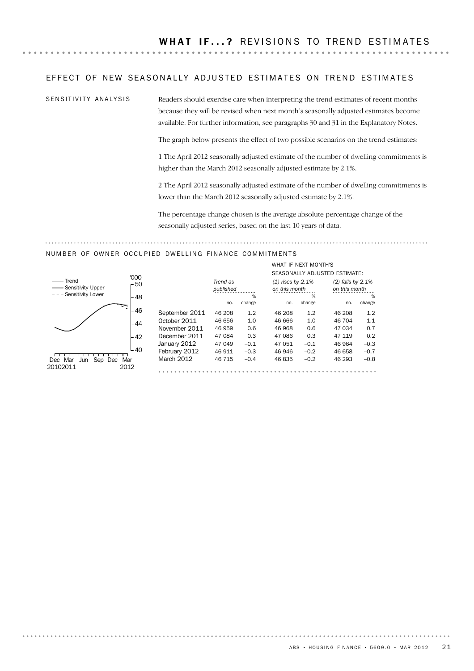#### EFFECT OF NEW SEASONALLY ADJUSTED ESTIMATES ON TREND ESTIMATES

SENSITIVITY ANALYSIS

Readers should exercise care when interpreting the trend estimates of recent months because they will be revised when next month's seasonally adjusted estimates become available. For further information, see paragraphs 30 and 31 in the Explanatory Notes.

The graph below presents the effect of two possible scenarios on the trend estimates:

1 The April 2012 seasonally adjusted estimate of the number of dwelling commitments is higher than the March 2012 seasonally adjusted estimate by 2.1%.

2 The April 2012 seasonally adjusted estimate of the number of dwelling commitments is lower than the March 2012 seasonally adjusted estimate by 2.1%.

The percentage change chosen is the average absolute percentage change of the seasonally adjusted series, based on the last 10 years of data.

#### NUMBER OF OWNER OCCUPIED DWELLING FINANCE COMMITMENTS



|                |           |        | WHAT IF NFXT MONTH'S |        | SEASONALLY ADJUSTED ESTIMATE: |        |
|----------------|-----------|--------|----------------------|--------|-------------------------------|--------|
|                | Trend as  |        | $(1)$ rises by 2.1%  |        | $(2)$ falls by 2.1%           |        |
|                | published |        | on this month        |        | on this month                 |        |
|                |           | %      |                      | %      |                               | %      |
|                | no.       | change | no.                  | change | no.                           | change |
| September 2011 | 46 208    | 1.2    | 46 208               | 1.2    | 46 208                        | 1.2    |
| October 2011   | 46 656    | 1.0    | 46 666               | 1.0    | 46 704                        | 1.1    |
| November 2011  | 46 959    | 0.6    | 46 968               | 0.6    | 47 034                        | 0.7    |
| December 2011  | 47 084    | 0.3    | 47 086               | 0.3    | 47 119                        | 0.2    |
| January 2012   | 47 049    | $-0.1$ | 47 051               | $-0.1$ | 46 964                        | $-0.3$ |
| February 2012  | 46 911    | $-0.3$ | 46 946               | $-0.2$ | 46 658                        | $-0.7$ |
| March 2012     | 46 715    | $-0.4$ | 46835                | $-0.2$ | 46 293                        | $-0.8$ |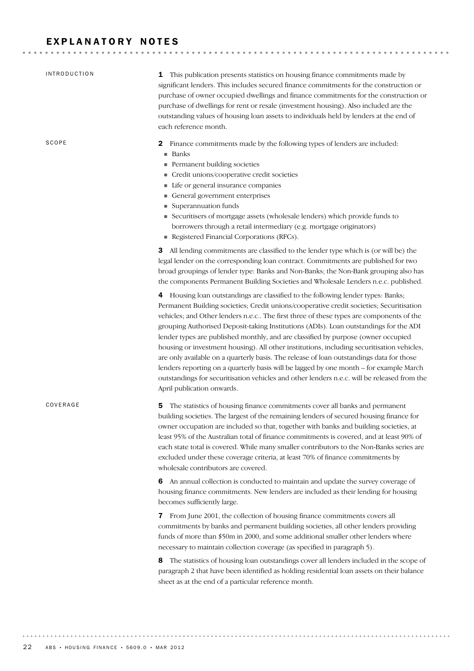### EXPLANATORY NOTES

| <b>INTRODUCTION</b> | 1 This publication presents statistics on housing finance commitments made by<br>significant lenders. This includes secured finance commitments for the construction or<br>purchase of owner occupied dwellings and finance commitments for the construction or<br>purchase of dwellings for rent or resale (investment housing). Also included are the<br>outstanding values of housing loan assets to individuals held by lenders at the end of<br>each reference month.                                                                                                                                                                                                                                                                                                                                                                                            |
|---------------------|-----------------------------------------------------------------------------------------------------------------------------------------------------------------------------------------------------------------------------------------------------------------------------------------------------------------------------------------------------------------------------------------------------------------------------------------------------------------------------------------------------------------------------------------------------------------------------------------------------------------------------------------------------------------------------------------------------------------------------------------------------------------------------------------------------------------------------------------------------------------------|
| SCOPE               | Finance commitments made by the following types of lenders are included:<br>2<br>■ Banks<br>Permanent building societies<br>Credit unions/cooperative credit societies<br>Life or general insurance companies<br>General government enterprises<br>Superannuation funds<br>Securitisers of mortgage assets (wholesale lenders) which provide funds to<br>borrowers through a retail intermediary (e.g. mortgage originators)<br>Registered Financial Corporations (RFCs).                                                                                                                                                                                                                                                                                                                                                                                             |
|                     | <b>3</b> All lending commitments are classified to the lender type which is (or will be) the<br>legal lender on the corresponding loan contract. Commitments are published for two<br>broad groupings of lender type: Banks and Non-Banks; the Non-Bank grouping also has<br>the components Permanent Building Societies and Wholesale Lenders n.e.c. published.                                                                                                                                                                                                                                                                                                                                                                                                                                                                                                      |
|                     | 4 Housing loan outstandings are classified to the following lender types: Banks;<br>Permanent Building societies; Credit unions/cooperative credit societies; Securitisation<br>vehicles; and Other lenders n.e.c The first three of these types are components of the<br>grouping Authorised Deposit-taking Institutions (ADIs). Loan outstandings for the ADI<br>lender types are published monthly, and are classified by purpose (owner occupied<br>housing or investment housing). All other institutions, including securitisation vehicles,<br>are only available on a quarterly basis. The release of loan outstandings data for those<br>lenders reporting on a quarterly basis will be lagged by one month - for example March<br>outstandings for securitisation vehicles and other lenders n.e.c. will be released from the<br>April publication onwards. |
| COVERAGE            | The statistics of housing finance commitments cover all banks and permanent<br>5<br>building societies. The largest of the remaining lenders of secured housing finance for<br>owner occupation are included so that, together with banks and building societies, at<br>least 95% of the Australian total of finance commitments is covered, and at least 90% of<br>each state total is covered. While many smaller contributors to the Non-Banks series are<br>excluded under these coverage criteria, at least 70% of finance commitments by<br>wholesale contributors are covered.                                                                                                                                                                                                                                                                                 |
|                     | 6 An annual collection is conducted to maintain and update the survey coverage of<br>housing finance commitments. New lenders are included as their lending for housing<br>becomes sufficiently large.                                                                                                                                                                                                                                                                                                                                                                                                                                                                                                                                                                                                                                                                |
|                     | From June 2001, the collection of housing finance commitments covers all<br>7<br>commitments by banks and permanent building societies, all other lenders providing<br>funds of more than \$50m in 2000, and some additional smaller other lenders where<br>necessary to maintain collection coverage (as specified in paragraph 5).                                                                                                                                                                                                                                                                                                                                                                                                                                                                                                                                  |
|                     | The statistics of housing loan outstandings cover all lenders included in the scope of<br>8<br>paragraph 2 that have been identified as holding residential loan assets on their balance<br>sheet as at the end of a particular reference month.                                                                                                                                                                                                                                                                                                                                                                                                                                                                                                                                                                                                                      |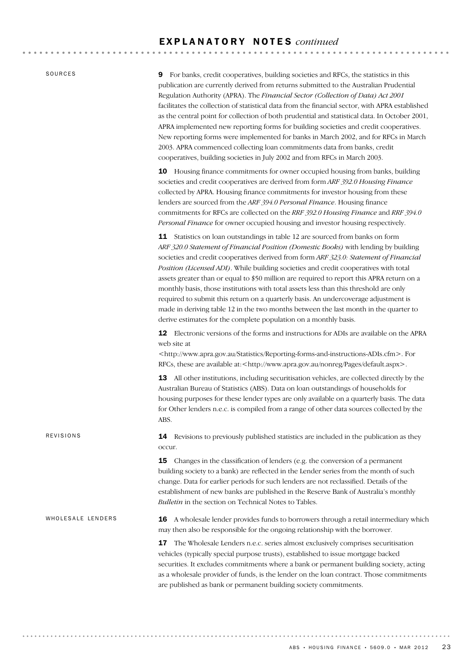SOURCES

REVISIONS

9 For banks, credit cooperatives, building societies and RFCs, the statistics in this publication are currently derived from returns submitted to the Australian Prudential Regulation Authority (APRA). The *Financial Sector (Collection of Data) Act 2001* facilitates the collection of statistical data from the financial sector, with APRA established as the central point for collection of both prudential and statistical data. In October 2001, APRA implemented new reporting forms for building societies and credit cooperatives. New reporting forms were implemented for banks in March 2002, and for RFCs in March 2003. APRA commenced collecting loan commitments data from banks, credit cooperatives, building societies in July 2002 and from RFCs in March 2003.

10 Housing finance commitments for owner occupied housing from banks, building societies and credit cooperatives are derived from form *ARF 392.0 Housing Finance* collected by APRA. Housing finance commitments for investor housing from these lenders are sourced from the *ARF 394.0 Personal Finance*. Housing finance commitments for RFCs are collected on the *RRF 392.0 Housing Finance* and *RRF 394.0 Personal Finance* for owner occupied housing and investor housing respectively.

11 Statistics on loan outstandings in table 12 are sourced from banks on form *ARF 320.0 Statement of Financial Position (Domestic Books)* with lending by building societies and credit cooperatives derived from form *ARF 323.0: Statement of Financial Position (Licensed ADI)*. While building societies and credit cooperatives with total assets greater than or equal to \$50 million are required to report this APRA return on a monthly basis, those institutions with total assets less than this threshold are only required to submit this return on a quarterly basis. An undercoverage adjustment is made in deriving table 12 in the two months between the last month in the quarter to derive estimates for the complete population on a monthly basis.

12 Electronic versions of the forms and instructions for ADIs are available on the APRA web site at

<http://www.apra.gov.au/Statistics/Reporting-forms-and-instructions-ADIs.cfm>. For RFCs, these are available at:<http://www.apra.gov.au/nonreg/Pages/default.aspx>.

13 All other institutions, including securitisation vehicles, are collected directly by the Australian Bureau of Statistics (ABS). Data on loan outstandings of households for housing purposes for these lender types are only available on a quarterly basis. The data for Other lenders n.e.c. is compiled from a range of other data sources collected by the ABS.

14 Revisions to previously published statistics are included in the publication as they occur.

**15** Changes in the classification of lenders (e.g. the conversion of a permanent building society to a bank) are reflected in the Lender series from the month of such change. Data for earlier periods for such lenders are not reclassified. Details of the establishment of new banks are published in the Reserve Bank of Australia's monthly *Bulletin* in the section on Technical Notes to Tables.

16 A wholesale lender provides funds to borrowers through a retail intermediary which may then also be responsible for the ongoing relationship with the borrower. WHOLESALE LENDERS

> 17 The Wholesale Lenders n.e.c. series almost exclusively comprises securitisation vehicles (typically special purpose trusts), established to issue mortgage backed securities. It excludes commitments where a bank or permanent building society, acting as a wholesale provider of funds, is the lender on the loan contract. Those commitments are published as bank or permanent building society commitments.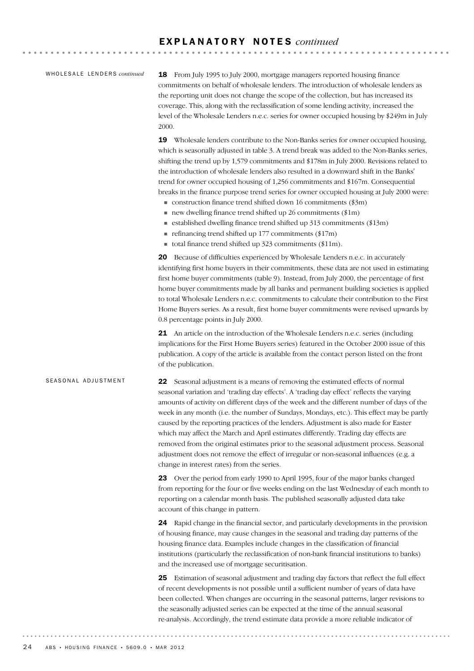#### WHOLESALE LENDERS *continued*

18 From July 1995 to July 2000, mortgage managers reported housing finance commitments on behalf of wholesale lenders. The introduction of wholesale lenders as the reporting unit does not change the scope of the collection, but has increased its coverage. This, along with the reclassification of some lending activity, increased the level of the Wholesale Lenders n.e.c. series for owner occupied housing by \$249m in July 2000.

19 Wholesale lenders contribute to the Non-Banks series for owner occupied housing, which is seasonally adjusted in table 3. A trend break was added to the Non-Banks series, shifting the trend up by 1,579 commitments and \$178m in July 2000. Revisions related to the introduction of wholesale lenders also resulted in a downward shift in the Banks' trend for owner occupied housing of 1,256 commitments and \$167m. Consequential breaks in the finance purpose trend series for owner occupied housing at July 2000 were:

- $\blacksquare$  construction finance trend shifted down 16 commitments (\$3m)
- $\blacksquare$  new dwelling finance trend shifted up 26 commitments (\$1m)
- $\blacksquare$  established dwelling finance trend shifted up 313 commitments (\$13m)
- $\blacksquare$  refinancing trend shifted up 177 commitments (\$17m)
- total finance trend shifted up  $323$  commitments (\$11m).

20 Because of difficulties experienced by Wholesale Lenders n.e.c. in accurately identifying first home buyers in their commitments, these data are not used in estimating first home buyer commitments (table 9). Instead, from July 2000, the percentage of first home buyer commitments made by all banks and permanent building societies is applied to total Wholesale Lenders n.e.c. commitments to calculate their contribution to the First Home Buyers series. As a result, first home buyer commitments were revised upwards by 0.8 percentage points in July 2000.

21 An article on the introduction of the Wholesale Lenders n.e.c. series (including implications for the First Home Buyers series) featured in the October 2000 issue of this publication. A copy of the article is available from the contact person listed on the front of the publication.

#### SEASONAL ADJUSTMENT

22 Seasonal adjustment is a means of removing the estimated effects of normal seasonal variation and 'trading day effects'. A 'trading day effect' reflects the varying amounts of activity on different days of the week and the different number of days of the week in any month (i.e. the number of Sundays, Mondays, etc.). This effect may be partly caused by the reporting practices of the lenders. Adjustment is also made for Easter which may affect the March and April estimates differently. Trading day effects are removed from the original estimates prior to the seasonal adjustment process. Seasonal adjustment does not remove the effect of irregular or non-seasonal influences (e.g. a change in interest rates) from the series.

23 Over the period from early 1990 to April 1995, four of the major banks changed from reporting for the four or five weeks ending on the last Wednesday of each month to reporting on a calendar month basis. The published seasonally adjusted data take account of this change in pattern.

24 Rapid change in the financial sector, and particularly developments in the provision of housing finance, may cause changes in the seasonal and trading day patterns of the housing finance data. Examples include changes in the classification of financial institutions (particularly the reclassification of non-bank financial institutions to banks) and the increased use of mortgage securitisation.

25 Estimation of seasonal adjustment and trading day factors that reflect the full effect of recent developments is not possible until a sufficient number of years of data have been collected. When changes are occurring in the seasonal patterns, larger revisions to the seasonally adjusted series can be expected at the time of the annual seasonal re-analysis. Accordingly, the trend estimate data provide a more reliable indicator of

. . . . . . . . . . . .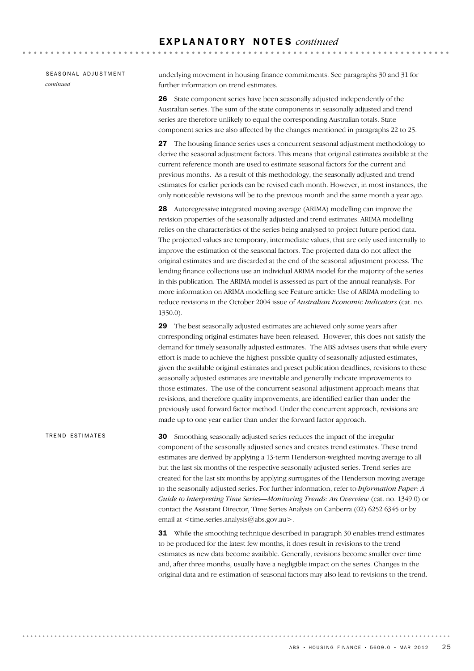#### SEASONAL ADJUSTMENT *continued*

underlying movement in housing finance commitments. See paragraphs 30 and 31 for further information on trend estimates.

26 State component series have been seasonally adjusted independently of the Australian series. The sum of the state components in seasonally adjusted and trend series are therefore unlikely to equal the corresponding Australian totals. State component series are also affected by the changes mentioned in paragraphs 22 to 25.

27 The housing finance series uses a concurrent seasonal adjustment methodology to derive the seasonal adjustment factors. This means that original estimates available at the current reference month are used to estimate seasonal factors for the current and previous months. As a result of this methodology, the seasonally adjusted and trend estimates for earlier periods can be revised each month. However, in most instances, the only noticeable revisions will be to the previous month and the same month a year ago.

28 Autoregressive integrated moving average (ARIMA) modelling can improve the revision properties of the seasonally adjusted and trend estimates. ARIMA modelling relies on the characteristics of the series being analysed to project future period data. The projected values are temporary, intermediate values, that are only used internally to improve the estimation of the seasonal factors. The projected data do not affect the original estimates and are discarded at the end of the seasonal adjustment process. The lending finance collections use an individual ARIMA model for the majority of the series in this publication. The ARIMA model is assessed as part of the annual reanalysis. For more information on ARIMA modelling see Feature article: Use of ARIMA modelling to reduce revisions in the October 2004 issue of *Australian Economic Indicators* (cat. no. 1350.0).

29 The best seasonally adjusted estimates are achieved only some years after corresponding original estimates have been released. However, this does not satisfy the demand for timely seasonally adjusted estimates. The ABS advises users that while every effort is made to achieve the highest possible quality of seasonally adjusted estimates, given the available original estimates and preset publication deadlines, revisions to these seasonally adjusted estimates are inevitable and generally indicate improvements to those estimates. The use of the concurrent seasonal adjustment approach means that revisions, and therefore quality improvements, are identified earlier than under the previously used forward factor method. Under the concurrent approach, revisions are made up to one year earlier than under the forward factor approach.

30 Smoothing seasonally adjusted series reduces the impact of the irregular component of the seasonally adjusted series and creates trend estimates. These trend estimates are derived by applying a 13-term Henderson-weighted moving average to all but the last six months of the respective seasonally adjusted series. Trend series are created for the last six months by applying surrogates of the Henderson moving average to the seasonally adjusted series. For further information, refer to *Information Paper: A Guide to Interpreting Time Series—Monitoring Trends: An Overview* (cat. no. 1349.0) or contact the Assistant Director, Time Series Analysis on Canberra (02) 6252 6345 or by email at  $\leq$ time.series.analysis@abs.gov.au>. TREND ESTIMATES

> **31** While the smoothing technique described in paragraph 30 enables trend estimates to be produced for the latest few months, it does result in revisions to the trend estimates as new data become available. Generally, revisions become smaller over time and, after three months, usually have a negligible impact on the series. Changes in the original data and re-estimation of seasonal factors may also lead to revisions to the trend.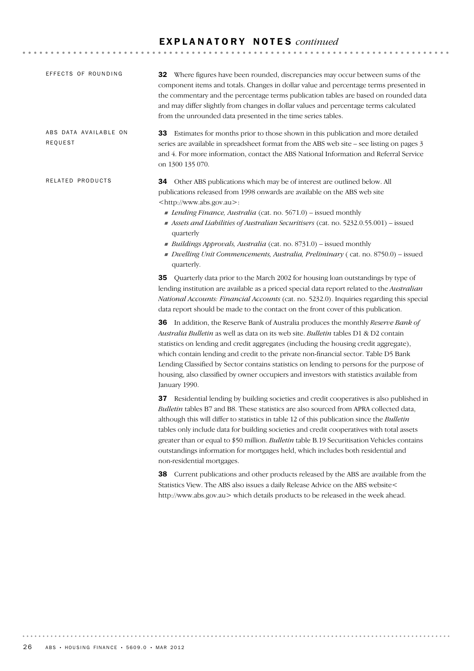| <b>32</b> Where figures have been rounded, discrepancies may occur between sums of the<br>component items and totals. Changes in dollar value and percentage terms presented in<br>the commentary and the percentage terms publication tables are based on rounded data<br>and may differ slightly from changes in dollar values and percentage terms calculated<br>from the unrounded data presented in the time series tables.                                                                                                                                                                                                                                                                                                                                                                                                                                                                                                                                                                                                                                                                                                                                                                                                                                                                                                                                                                                                                                                                                                                                                                                                                                                                                                                                                                                        |
|-------------------------------------------------------------------------------------------------------------------------------------------------------------------------------------------------------------------------------------------------------------------------------------------------------------------------------------------------------------------------------------------------------------------------------------------------------------------------------------------------------------------------------------------------------------------------------------------------------------------------------------------------------------------------------------------------------------------------------------------------------------------------------------------------------------------------------------------------------------------------------------------------------------------------------------------------------------------------------------------------------------------------------------------------------------------------------------------------------------------------------------------------------------------------------------------------------------------------------------------------------------------------------------------------------------------------------------------------------------------------------------------------------------------------------------------------------------------------------------------------------------------------------------------------------------------------------------------------------------------------------------------------------------------------------------------------------------------------------------------------------------------------------------------------------------------------|
| 33 Estimates for months prior to those shown in this publication and more detailed<br>series are available in spreadsheet format from the ABS web site – see listing on pages 3<br>and 4. For more information, contact the ABS National Information and Referral Service<br>on 1300 135 070.                                                                                                                                                                                                                                                                                                                                                                                                                                                                                                                                                                                                                                                                                                                                                                                                                                                                                                                                                                                                                                                                                                                                                                                                                                                                                                                                                                                                                                                                                                                           |
| 34 Other ABS publications which may be of interest are outlined below. All<br>publications released from 1998 onwards are available on the ABS web site<br><http: www.abs.gov.au="">:<br/>Lending Finance, Australia (cat. no. 5671.0) – issued monthly<br/>Assets and Liabilities of Australian Securitisers (cat. no. 5232.0.55.001) - issued<br/>quarterly<br/>Buildings Approvals, Australia (cat. no. 8731.0) – issued monthly<br/>Dwelling Unit Commencements, Australia, Preliminary (cat. no. 8750.0) – issued<br/>quarterly.</http:>                                                                                                                                                                                                                                                                                                                                                                                                                                                                                                                                                                                                                                                                                                                                                                                                                                                                                                                                                                                                                                                                                                                                                                                                                                                                           |
| <b>35</b> Quarterly data prior to the March 2002 for housing loan outstandings by type of<br>lending institution are available as a priced special data report related to the Australian<br>National Accounts: Financial Accounts (cat. no. 5232.0). Inquiries regarding this special<br>data report should be made to the contact on the front cover of this publication.<br><b>36</b> In addition, the Reserve Bank of Australia produces the monthly Reserve Bank of<br>Australia Bulletin as well as data on its web site. Bulletin tables D1 & D2 contain<br>statistics on lending and credit aggregates (including the housing credit aggregate),<br>which contain lending and credit to the private non-financial sector. Table D5 Bank<br>Lending Classified by Sector contains statistics on lending to persons for the purpose of<br>housing, also classified by owner occupiers and investors with statistics available from<br>January 1990.<br>37 Residential lending by building societies and credit cooperatives is also published in<br>Bulletin tables B7 and B8. These statistics are also sourced from APRA collected data,<br>although this will differ to statistics in table 12 of this publication since the Bulletin<br>tables only include data for building societies and credit cooperatives with total assets<br>greater than or equal to \$50 million. Bulletin table B.19 Securitisation Vehicles contains<br>outstandings information for mortgages held, which includes both residential and<br>non-residential mortgages.<br>Current publications and other products released by the ABS are available from the<br>Statistics View. The ABS also issues a daily Release Advice on the ABS website<<br>http://www.abs.gov.au> which details products to be released in the week ahead. |
|                                                                                                                                                                                                                                                                                                                                                                                                                                                                                                                                                                                                                                                                                                                                                                                                                                                                                                                                                                                                                                                                                                                                                                                                                                                                                                                                                                                                                                                                                                                                                                                                                                                                                                                                                                                                                         |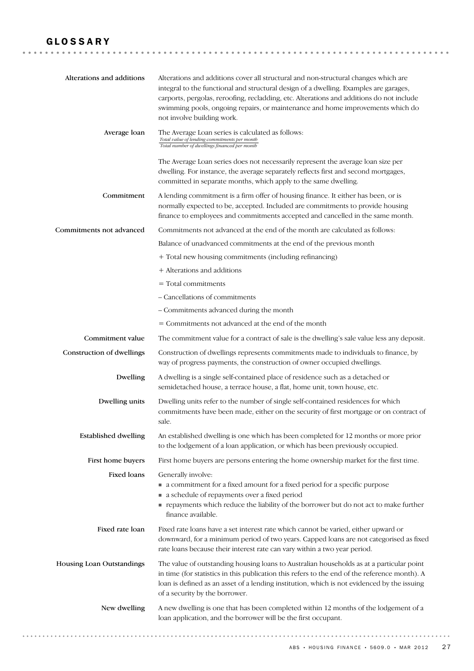## GLOSSARY

| Alterations and additions   | Alterations and additions cover all structural and non-structural changes which are<br>integral to the functional and structural design of a dwelling. Examples are garages,<br>carports, pergolas, reroofing, recladding, etc. Alterations and additions do not include<br>swimming pools, ongoing repairs, or maintenance and home improvements which do<br>not involve building work. |
|-----------------------------|------------------------------------------------------------------------------------------------------------------------------------------------------------------------------------------------------------------------------------------------------------------------------------------------------------------------------------------------------------------------------------------|
| Average loan                | The Average Loan series is calculated as follows:<br>Total value of lending commitments per month<br>Total number of dwellings financed per month                                                                                                                                                                                                                                        |
|                             | The Average Loan series does not necessarily represent the average loan size per<br>dwelling. For instance, the average separately reflects first and second mortgages,<br>committed in separate months, which apply to the same dwelling.                                                                                                                                               |
| Commitment                  | A lending commitment is a firm offer of housing finance. It either has been, or is<br>normally expected to be, accepted. Included are commitments to provide housing<br>finance to employees and commitments accepted and cancelled in the same month.                                                                                                                                   |
| Commitments not advanced    | Commitments not advanced at the end of the month are calculated as follows:                                                                                                                                                                                                                                                                                                              |
|                             | Balance of unadvanced commitments at the end of the previous month                                                                                                                                                                                                                                                                                                                       |
|                             | + Total new housing commitments (including refinancing)                                                                                                                                                                                                                                                                                                                                  |
|                             | + Alterations and additions                                                                                                                                                                                                                                                                                                                                                              |
|                             | $=$ Total commitments                                                                                                                                                                                                                                                                                                                                                                    |
|                             | - Cancellations of commitments                                                                                                                                                                                                                                                                                                                                                           |
|                             | - Commitments advanced during the month                                                                                                                                                                                                                                                                                                                                                  |
|                             | = Commitments not advanced at the end of the month                                                                                                                                                                                                                                                                                                                                       |
| Commitment value            | The commitment value for a contract of sale is the dwelling's sale value less any deposit.                                                                                                                                                                                                                                                                                               |
| Construction of dwellings   | Construction of dwellings represents commitments made to individuals to finance, by<br>way of progress payments, the construction of owner occupied dwellings.                                                                                                                                                                                                                           |
| Dwelling                    | A dwelling is a single self-contained place of residence such as a detached or<br>semidetached house, a terrace house, a flat, home unit, town house, etc.                                                                                                                                                                                                                               |
| Dwelling units              | Dwelling units refer to the number of single self-contained residences for which<br>commitments have been made, either on the security of first mortgage or on contract of<br>sale.                                                                                                                                                                                                      |
| <b>Established dwelling</b> | An established dwelling is one which has been completed for 12 months or more prior<br>to the lodgement of a loan application, or which has been previously occupied.                                                                                                                                                                                                                    |
| First home buyers           | First home buyers are persons entering the home ownership market for the first time.                                                                                                                                                                                                                                                                                                     |
| Fixed loans                 | Generally involve:<br>• a commitment for a fixed amount for a fixed period for a specific purpose<br>a schedule of repayments over a fixed period<br>payments which reduce the liability of the borrower but do not act to make further<br>finance available.                                                                                                                            |
| Fixed rate loan             | Fixed rate loans have a set interest rate which cannot be varied, either upward or<br>downward, for a minimum period of two years. Capped loans are not categorised as fixed<br>rate loans because their interest rate can vary within a two year period.                                                                                                                                |
| Housing Loan Outstandings   | The value of outstanding housing loans to Australian households as at a particular point<br>in time (for statistics in this publication this refers to the end of the reference month). A<br>loan is defined as an asset of a lending institution, which is not evidenced by the issuing<br>of a security by the borrower.                                                               |
| New dwelling                | A new dwelling is one that has been completed within 12 months of the lodgement of a<br>loan application, and the borrower will be the first occupant.                                                                                                                                                                                                                                   |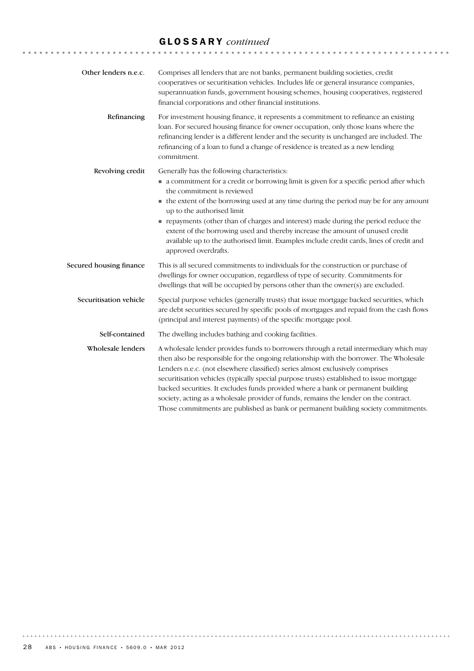# GLOSSARY *continued*

| Other lenders n.e.c.    | Comprises all lenders that are not banks, permanent building societies, credit<br>cooperatives or securitisation vehicles. Includes life or general insurance companies,<br>superannuation funds, government housing schemes, housing cooperatives, registered<br>financial corporations and other financial institutions.                                                                                                                                                                                                                                                                                                       |
|-------------------------|----------------------------------------------------------------------------------------------------------------------------------------------------------------------------------------------------------------------------------------------------------------------------------------------------------------------------------------------------------------------------------------------------------------------------------------------------------------------------------------------------------------------------------------------------------------------------------------------------------------------------------|
| Refinancing             | For investment housing finance, it represents a commitment to refinance an existing<br>loan. For secured housing finance for owner occupation, only those loans where the<br>refinancing lender is a different lender and the security is unchanged are included. The<br>refinancing of a loan to fund a change of residence is treated as a new lending<br>commitment.                                                                                                                                                                                                                                                          |
| Revolving credit        | Generally has the following characteristics:<br>• a commitment for a credit or borrowing limit is given for a specific period after which<br>the commitment is reviewed<br>• the extent of the borrowing used at any time during the period may be for any amount<br>up to the authorised limit<br>repayments (other than of charges and interest) made during the period reduce the<br>extent of the borrowing used and thereby increase the amount of unused credit<br>available up to the authorised limit. Examples include credit cards, lines of credit and<br>approved overdrafts.                                        |
| Secured housing finance | This is all secured commitments to individuals for the construction or purchase of<br>dwellings for owner occupation, regardless of type of security. Commitments for<br>dwellings that will be occupied by persons other than the owner(s) are excluded.                                                                                                                                                                                                                                                                                                                                                                        |
| Securitisation vehicle  | Special purpose vehicles (generally trusts) that issue mortgage backed securities, which<br>are debt securities secured by specific pools of mortgages and repaid from the cash flows<br>(principal and interest payments) of the specific mortgage pool.                                                                                                                                                                                                                                                                                                                                                                        |
| Self-contained          | The dwelling includes bathing and cooking facilities.                                                                                                                                                                                                                                                                                                                                                                                                                                                                                                                                                                            |
| Wholesale lenders       | A wholesale lender provides funds to borrowers through a retail intermediary which may<br>then also be responsible for the ongoing relationship with the borrower. The Wholesale<br>Lenders n.e.c. (not elsewhere classified) series almost exclusively comprises<br>securitisation vehicles (typically special purpose trusts) established to issue mortgage<br>backed securities. It excludes funds provided where a bank or permanent building<br>society, acting as a wholesale provider of funds, remains the lender on the contract.<br>Those commitments are published as bank or permanent building society commitments. |